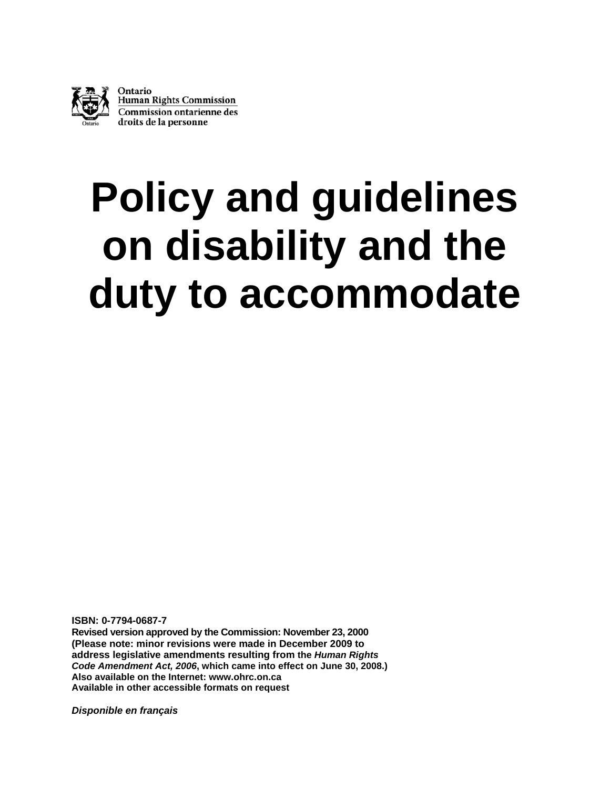

Ontario **Human Rights Commission Commission ontarienne des** droits de la personne

# **Policy and guidelines on disability and the duty to accommodate**

**ISBN: 0-7794-0687-7** 

**Revised version approved by the Commission: November 23, 2000 (Please note: minor revisions were made in December 2009 to address legislative amendments resulting from the** *Human Rights Code Amendment Act, 2006***, which came into effect on June 30, 2008.) Also available on the Internet: [www.ohrc.on.ca](http://www.ohrc.on.ca/)  Available in other accessible formats on request** 

*Disponible en français*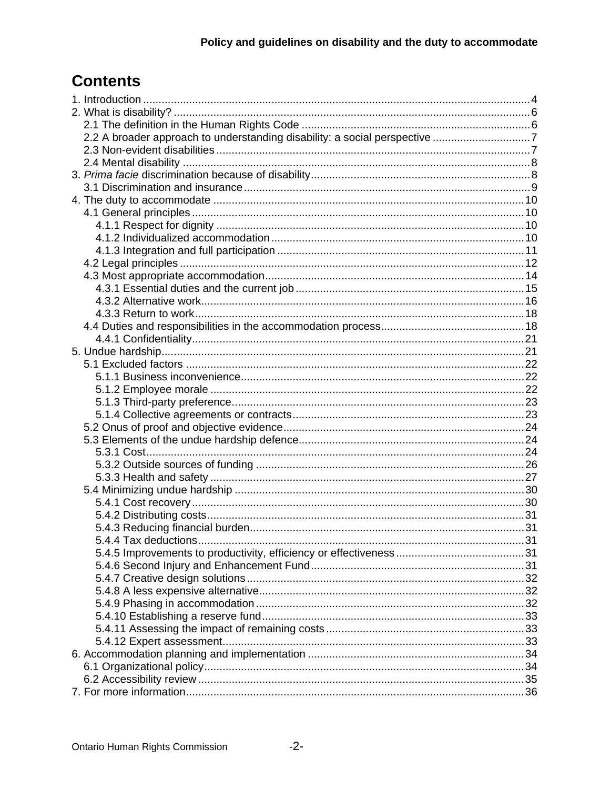# **Contents**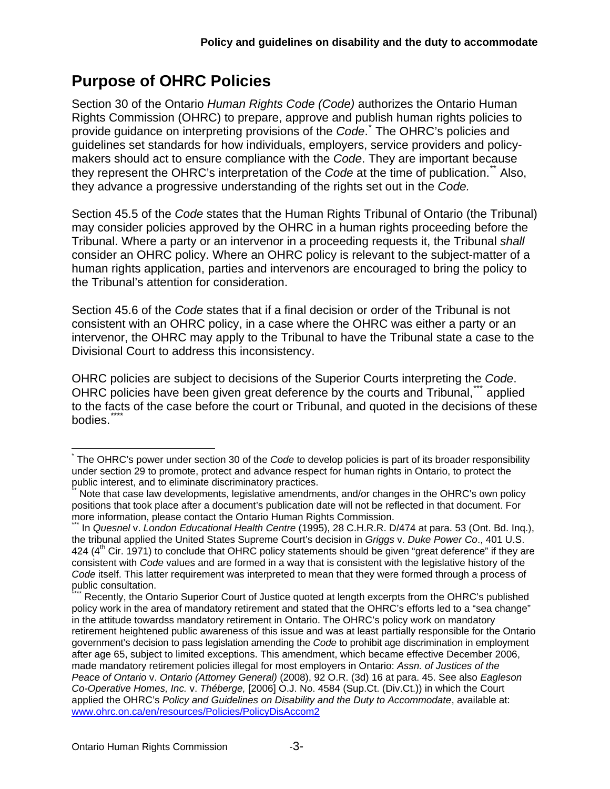# **Purpose of OHRC Policies**

Section 30 of the Ontario *Human Rights Code (Code)* authorizes the Ontario Human Rights Commission (OHRC) to prepare, approve and publish human rights policies to provide guidance on interpreting provisions of the *Code*. [\\*](#page-2-0) The OHRC's policies and guidelines set standards for how individuals, employers, service providers and policymakers should act to ensure compliance with the *Code*. They are important because they represent the OHRC's interpretation of the *Code* at the time of publication.[\\*\\*](#page-2-1) Also, they advance a progressive understanding of the rights set out in the *Code.* 

Section 45.5 of the *Code* states that the Human Rights Tribunal of Ontario (the Tribunal) may consider policies approved by the OHRC in a human rights proceeding before the Tribunal. Where a party or an intervenor in a proceeding requests it, the Tribunal *shall* consider an OHRC policy. Where an OHRC policy is relevant to the subject-matter of a human rights application, parties and intervenors are encouraged to bring the policy to the Tribunal's attention for consideration.

Section 45.6 of the *Code* states that if a final decision or order of the Tribunal is not consistent with an OHRC policy, in a case where the OHRC was either a party or an intervenor, the OHRC may apply to the Tribunal to have the Tribunal state a case to the Divisional Court to address this inconsistency.

OHRC policies are subject to decisions of the Superior Courts interpreting the *Code*. OHRC policies have been given great deference by the courts and Tribunal,<sup>[\\*\\*\\*](#page-2-2)</sup> applied to the facts of the case before the court or Tribunal, and quoted in the decisions of these bodies.

1

<span id="page-2-0"></span><sup>\*</sup> The OHRC's power under section 30 of the *Code* to develop policies is part of its broader responsibility under section 29 to promote, protect and advance respect for human rights in Ontario, to protect the public interest, and to eliminate discriminatory practices.

<span id="page-2-1"></span>Note that case law developments, legislative amendments, and/or changes in the OHRC's own policy positions that took place after a document's publication date will not be reflected in that document. For more information, please contact the Ontario Human Rights Commission.

<span id="page-2-2"></span>In Quesnel v. London Educational Health Centre (1995), 28 C.H.R.R. D/474 at para. 53 (Ont. Bd. Ing.), the tribunal applied the United States Supreme Court's decision in *Griggs* v. *Duke Power Co*., 401 U.S. 424  $(4<sup>th</sup>$  Cir. 1971) to conclude that OHRC policy statements should be given "great deference" if they are consistent with *Code* values and are formed in a way that is consistent with the legislative history of the *Code* itself. This latter requirement was interpreted to mean that they were formed through a process of public consultation.

<span id="page-2-3"></span>Recently, the Ontario Superior Court of Justice quoted at length excerpts from the OHRC's published policy work in the area of mandatory retirement and stated that the OHRC's efforts led to a "sea change" in the attitude towardss mandatory retirement in Ontario. The OHRC's policy work on mandatory retirement heightened public awareness of this issue and was at least partially responsible for the Ontario government's decision to pass legislation amending the *Code* to prohibit age discrimination in employment after age 65, subject to limited exceptions. This amendment, which became effective December 2006, made mandatory retirement policies illegal for most employers in Ontario: *Assn. of Justices of the Peace of Ontario* v. *Ontario (Attorney General)* (2008), 92 O.R. (3d) 16 at para. 45. See also *Eagleson Co-Operative Homes, Inc.* v. *Théberge,* [2006] O.J. No. 4584 (Sup.Ct. (Div.Ct.)) in which the Court applied the OHRC's *Policy and Guidelines on Disability and the Duty to Accommodate*, available at: [www.ohrc.on.ca/en/resources/Policies/PolicyDisAccom2](http://www.ohrc.on.ca/en/resources/Policies/PolicyDisAccom2)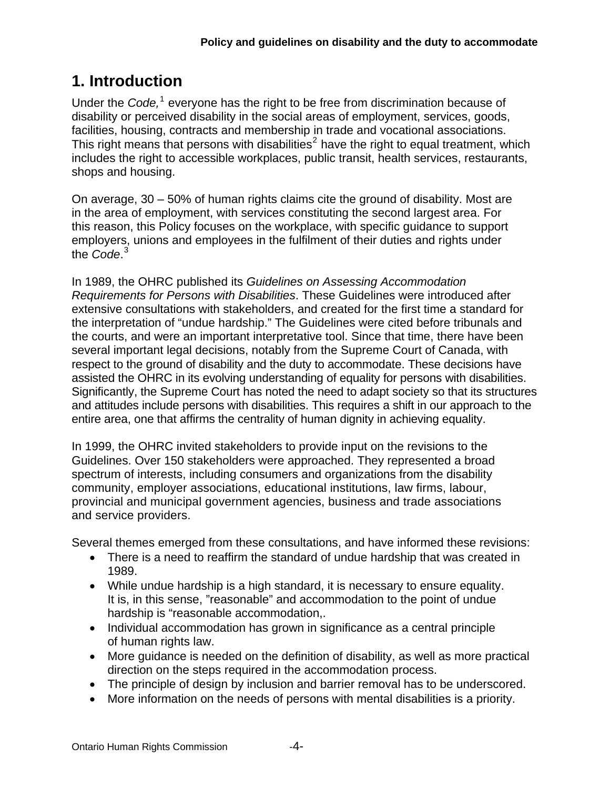# <span id="page-3-0"></span>**1. Introduction**

Under the *Code*,<sup>[1](#page-36-0)</sup> everyone has the right to be free from discrimination because of disability or perceived disability in the social areas of employment, services, goods, facilities, housing, contracts and membership in trade and vocational associations. This right means that persons with disabilities<sup>[2](#page-36-1)</sup> have the right to equal treatment, which includes the right to accessible workplaces, public transit, health services, restaurants, shops and housing.

On average, 30 – 50% of human rights claims cite the ground of disability. Most are in the area of employment, with services constituting the second largest area. For this reason, this Policy focuses on the workplace, with specific guidance to support employers, unions and employees in the fulfilment of their duties and rights under the *Code*. [3](#page-36-2)

In 1989, the OHRC published its *Guidelines on Assessing Accommodation Requirements for Persons with Disabilities*. These Guidelines were introduced after extensive consultations with stakeholders, and created for the first time a standard for the interpretation of "undue hardship." The Guidelines were cited before tribunals and the courts, and were an important interpretative tool. Since that time, there have been several important legal decisions, notably from the Supreme Court of Canada, with respect to the ground of disability and the duty to accommodate. These decisions have assisted the OHRC in its evolving understanding of equality for persons with disabilities. Significantly, the Supreme Court has noted the need to adapt society so that its structures and attitudes include persons with disabilities. This requires a shift in our approach to the entire area, one that affirms the centrality of human dignity in achieving equality.

In 1999, the OHRC invited stakeholders to provide input on the revisions to the Guidelines. Over 150 stakeholders were approached. They represented a broad spectrum of interests, including consumers and organizations from the disability community, employer associations, educational institutions, law firms, labour, provincial and municipal government agencies, business and trade associations and service providers.

Several themes emerged from these consultations, and have informed these revisions:

- There is a need to reaffirm the standard of undue hardship that was created in 1989.
- While undue hardship is a high standard, it is necessary to ensure equality. It is, in this sense, "reasonable" and accommodation to the point of undue hardship is "reasonable accommodation,.
- Individual accommodation has grown in significance as a central principle of human rights law.
- More guidance is needed on the definition of disability, as well as more practical direction on the steps required in the accommodation process.
- The principle of design by inclusion and barrier removal has to be underscored.
- More information on the needs of persons with mental disabilities is a priority.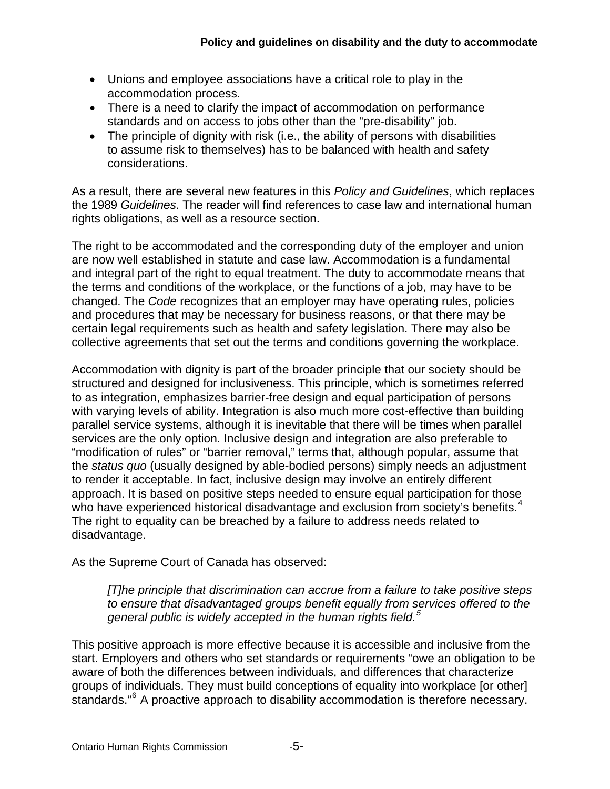- Unions and employee associations have a critical role to play in the accommodation process.
- There is a need to clarify the impact of accommodation on performance standards and on access to jobs other than the "pre-disability" job.
- The principle of dignity with risk (i.e., the ability of persons with disabilities to assume risk to themselves) has to be balanced with health and safety considerations.

As a result, there are several new features in this *Policy and Guidelines*, which replaces the 1989 *Guidelines*. The reader will find references to case law and international human rights obligations, as well as a resource section.

The right to be accommodated and the corresponding duty of the employer and union are now well established in statute and case law. Accommodation is a fundamental and integral part of the right to equal treatment. The duty to accommodate means that the terms and conditions of the workplace, or the functions of a job, may have to be changed. The *Code* recognizes that an employer may have operating rules, policies and procedures that may be necessary for business reasons, or that there may be certain legal requirements such as health and safety legislation. There may also be collective agreements that set out the terms and conditions governing the workplace.

Accommodation with dignity is part of the broader principle that our society should be structured and designed for inclusiveness. This principle, which is sometimes referred to as integration, emphasizes barrier-free design and equal participation of persons with varying levels of ability. Integration is also much more cost-effective than building parallel service systems, although it is inevitable that there will be times when parallel services are the only option. Inclusive design and integration are also preferable to "modification of rules" or "barrier removal," terms that, although popular, assume that the *status quo* (usually designed by able-bodied persons) simply needs an adjustment to render it acceptable. In fact, inclusive design may involve an entirely different approach. It is based on positive steps needed to ensure equal participation for those who have experienced historical disadvantage and exclusion from society's benefits.<sup>[4](#page-36-3)</sup> The right to equality can be breached by a failure to address needs related to disadvantage.

As the Supreme Court of Canada has observed:

*[T]he principle that discrimination can accrue from a failure to take positive steps to ensure that disadvantaged groups benefit equally from services offered to the general public is widely accepted in the human rights field.[5](#page-36-4)* 

This positive approach is more effective because it is accessible and inclusive from the start. Employers and others who set standards or requirements "owe an obligation to be aware of both the differences between individuals, and differences that characterize groups of individuals. They must build conceptions of equality into workplace [or other] standards."<sup>[6](#page-36-5)</sup> A proactive approach to disability accommodation is therefore necessary.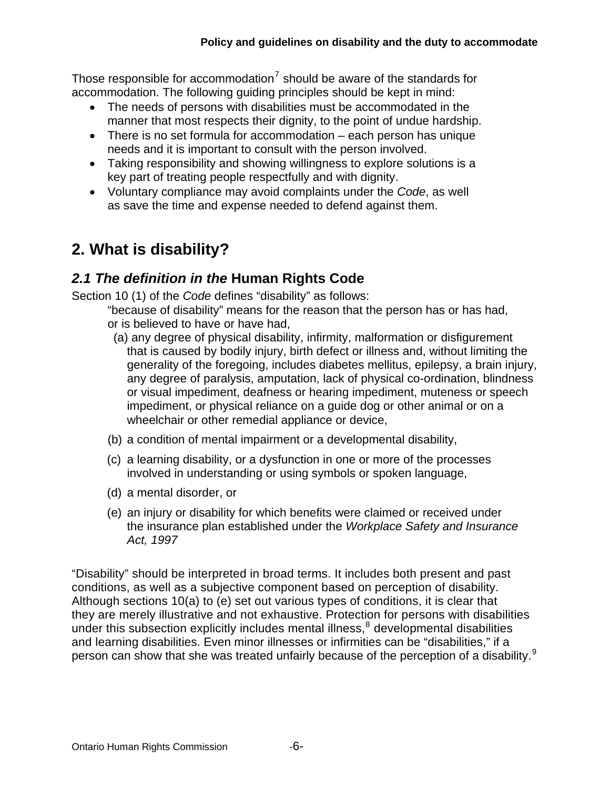Those responsible for accommodation<sup>[7](#page-36-6)</sup> should be aware of the standards for accommodation. The following guiding principles should be kept in mind:

- The needs of persons with disabilities must be accommodated in the manner that most respects their dignity, to the point of undue hardship.
- There is no set formula for accommodation each person has unique needs and it is important to consult with the person involved.
- Taking responsibility and showing willingness to explore solutions is a key part of treating people respectfully and with dignity.
- Voluntary compliance may avoid complaints under the *Code*, as well as save the time and expense needed to defend against them.

# <span id="page-5-0"></span>**2. What is disability?**

## <span id="page-5-1"></span>*2.1 The definition in the* **Human Rights Code**

Section 10 (1) of the *Code* defines "disability" as follows:

"because of disability" means for the reason that the person has or has had, or is believed to have or have had,

- (a) any degree of physical disability, infirmity, malformation or disfigurement that is caused by bodily injury, birth defect or illness and, without limiting the generality of the foregoing, includes diabetes mellitus, epilepsy, a brain injury, any degree of paralysis, amputation, lack of physical co-ordination, blindness or visual impediment, deafness or hearing impediment, muteness or speech impediment, or physical reliance on a guide dog or other animal or on a wheelchair or other remedial appliance or device,
- (b) a condition of mental impairment or a developmental disability,
- (c) a learning disability, or a dysfunction in one or more of the processes involved in understanding or using symbols or spoken language,
- (d) a mental disorder, or
- (e) an injury or disability for which benefits were claimed or received under the insurance plan established under the *Workplace Safety and Insurance Act, 1997*

"Disability" should be interpreted in broad terms. It includes both present and past conditions, as well as a subjective component based on perception of disability. Although sections 10(a) to (e) set out various types of conditions, it is clear that they are merely illustrative and not exhaustive. Protection for persons with disabilities under this subsection explicitly includes mental illness, $<sup>8</sup>$  $<sup>8</sup>$  $<sup>8</sup>$  developmental disabilities</sup> and learning disabilities. Even minor illnesses or infirmities can be "disabilities," if a person can show that she was treated unfairly because of the perception of a disability.<sup>[9](#page-36-8)</sup>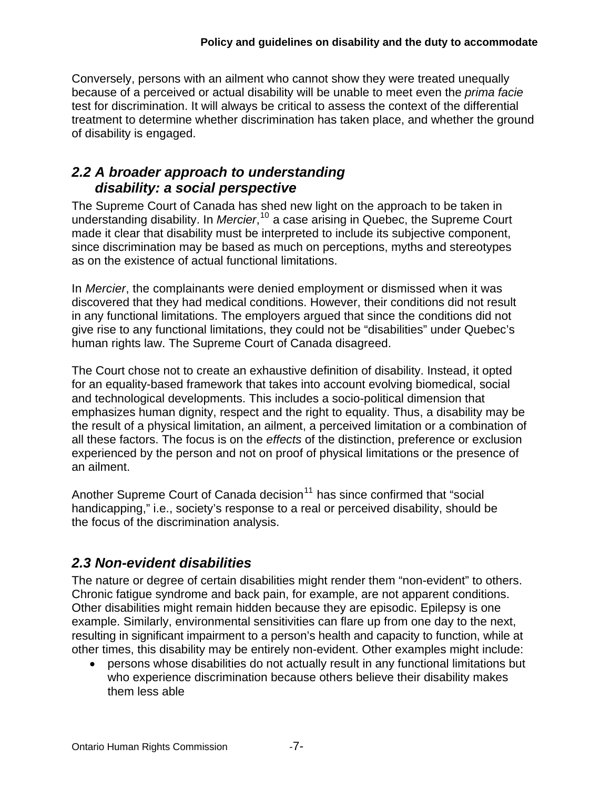Conversely, persons with an ailment who cannot show they were treated unequally because of a perceived or actual disability will be unable to meet even the *prima facie* test for discrimination. It will always be critical to assess the context of the differential treatment to determine whether discrimination has taken place, and whether the ground of disability is engaged.

## <span id="page-6-0"></span>*2.2 A broader approach to understanding disability: a social perspective*

The Supreme Court of Canada has shed new light on the approach to be taken in understanding disability. In *Mercier*, [10](#page-36-9) a case arising in Quebec, the Supreme Court made it clear that disability must be interpreted to include its subjective component, since discrimination may be based as much on perceptions, myths and stereotypes as on the existence of actual functional limitations.

In *Mercier*, the complainants were denied employment or dismissed when it was discovered that they had medical conditions. However, their conditions did not result in any functional limitations. The employers argued that since the conditions did not give rise to any functional limitations, they could not be "disabilities" under Quebec's human rights law. The Supreme Court of Canada disagreed.

The Court chose not to create an exhaustive definition of disability. Instead, it opted for an equality-based framework that takes into account evolving biomedical, social and technological developments. This includes a socio-political dimension that emphasizes human dignity, respect and the right to equality. Thus, a disability may be the result of a physical limitation, an ailment, a perceived limitation or a combination of all these factors. The focus is on the *effects* of the distinction, preference or exclusion experienced by the person and not on proof of physical limitations or the presence of an ailment.

Another Supreme Court of Canada decision<sup>[11](#page-36-10)</sup> has since confirmed that "social handicapping," i.e., society's response to a real or perceived disability, should be the focus of the discrimination analysis.

# <span id="page-6-1"></span>*2.3 Non-evident disabilities*

The nature or degree of certain disabilities might render them "non-evident" to others. Chronic fatigue syndrome and back pain, for example, are not apparent conditions. Other disabilities might remain hidden because they are episodic. Epilepsy is one example. Similarly, environmental sensitivities can flare up from one day to the next, resulting in significant impairment to a person's health and capacity to function, while at other times, this disability may be entirely non-evident. Other examples might include:

 persons whose disabilities do not actually result in any functional limitations but who experience discrimination because others believe their disability makes them less able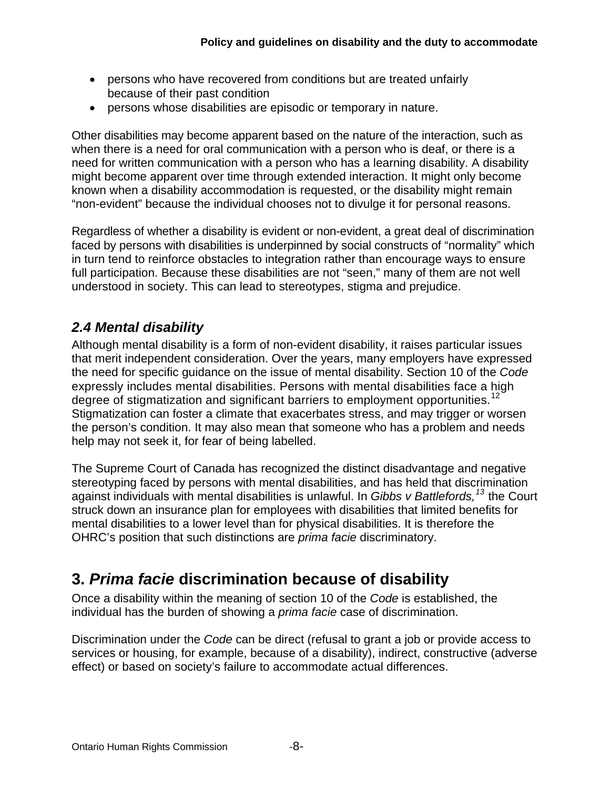- persons who have recovered from conditions but are treated unfairly because of their past condition
- persons whose disabilities are episodic or temporary in nature.

Other disabilities may become apparent based on the nature of the interaction, such as when there is a need for oral communication with a person who is deaf, or there is a need for written communication with a person who has a learning disability. A disability might become apparent over time through extended interaction. It might only become known when a disability accommodation is requested, or the disability might remain "non-evident" because the individual chooses not to divulge it for personal reasons.

Regardless of whether a disability is evident or non-evident, a great deal of discrimination faced by persons with disabilities is underpinned by social constructs of "normality" which in turn tend to reinforce obstacles to integration rather than encourage ways to ensure full participation. Because these disabilities are not "seen," many of them are not well understood in society. This can lead to stereotypes, stigma and prejudice.

## <span id="page-7-0"></span>*2.4 Mental disability*

Although mental disability is a form of non-evident disability, it raises particular issues that merit independent consideration. Over the years, many employers have expressed the need for specific guidance on the issue of mental disability. Section 10 of the *Code* expressly includes mental disabilities. Persons with mental disabilities face a high degree of stigmatization and significant barriers to employment opportunities.<sup>[12](#page-36-11)</sup> Stigmatization can foster a climate that exacerbates stress, and may trigger or worsen the person's condition. It may also mean that someone who has a problem and needs help may not seek it, for fear of being labelled.

The Supreme Court of Canada has recognized the distinct disadvantage and negative stereotyping faced by persons with mental disabilities, and has held that discrimination against individuals with mental disabilities is unlawful. In *Gibbs v Battlefords,[13](#page-36-12)* the Court struck down an insurance plan for employees with disabilities that limited benefits for mental disabilities to a lower level than for physical disabilities. It is therefore the OHRC's position that such distinctions are *prima facie* discriminatory.

# <span id="page-7-1"></span>**3.** *Prima facie* **discrimination because of disability**

Once a disability within the meaning of section 10 of the *Code* is established, the individual has the burden of showing a *prima facie* case of discrimination.

Discrimination under the *Code* can be direct (refusal to grant a job or provide access to services or housing, for example, because of a disability), indirect, constructive (adverse effect) or based on society's failure to accommodate actual differences.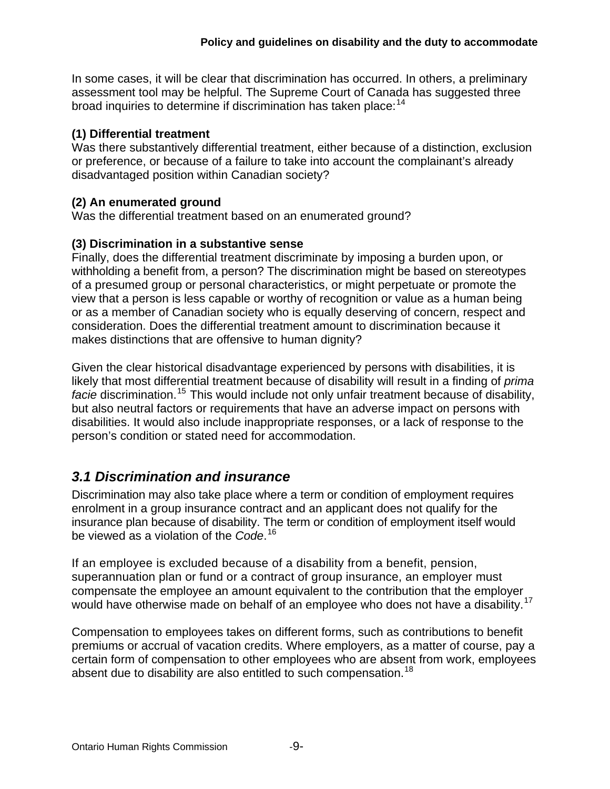In some cases, it will be clear that discrimination has occurred. In others, a preliminary assessment tool may be helpful. The Supreme Court of Canada has suggested three broad inquiries to determine if discrimination has taken place:<sup>[14](#page-36-13)</sup>

#### **(1) Differential treatment**

Was there substantively differential treatment, either because of a distinction, exclusion or preference, or because of a failure to take into account the complainant's already disadvantaged position within Canadian society?

#### **(2) An enumerated ground**

Was the differential treatment based on an enumerated ground?

#### **(3) Discrimination in a substantive sense**

Finally, does the differential treatment discriminate by imposing a burden upon, or withholding a benefit from, a person? The discrimination might be based on stereotypes of a presumed group or personal characteristics, or might perpetuate or promote the view that a person is less capable or worthy of recognition or value as a human being or as a member of Canadian society who is equally deserving of concern, respect and consideration. Does the differential treatment amount to discrimination because it makes distinctions that are offensive to human dignity?

Given the clear historical disadvantage experienced by persons with disabilities, it is likely that most differential treatment because of disability will result in a finding of *prima facie* discrimination.<sup>[15](#page-36-14)</sup> This would include not only unfair treatment because of disability, but also neutral factors or requirements that have an adverse impact on persons with disabilities. It would also include inappropriate responses, or a lack of response to the person's condition or stated need for accommodation.

## <span id="page-8-0"></span>*3.1 Discrimination and insurance*

Discrimination may also take place where a term or condition of employment requires enrolment in a group insurance contract and an applicant does not qualify for the insurance plan because of disability. The term or condition of employment itself would be viewed as a violation of the *Code*. [16](#page-36-15)

If an employee is excluded because of a disability from a benefit, pension, superannuation plan or fund or a contract of group insurance, an employer must compensate the employee an amount equivalent to the contribution that the employer would have otherwise made on behalf of an employee who does not have a disability.<sup>[17](#page-36-16)</sup>

Compensation to employees takes on different forms, such as contributions to benefit premiums or accrual of vacation credits. Where employers, as a matter of course, pay a certain form of compensation to other employees who are absent from work, employees absent due to disability are also entitled to such compensation.<sup>[18](#page-36-17)</sup>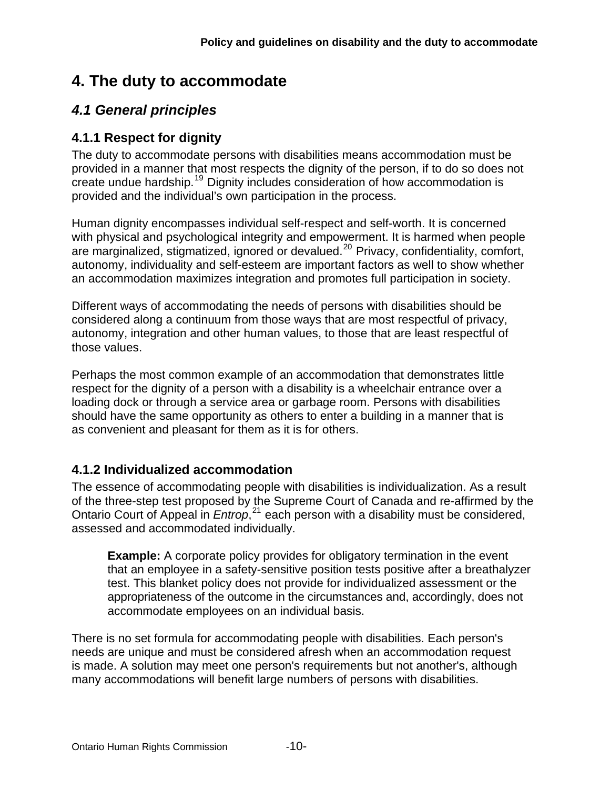# <span id="page-9-0"></span>**4. The duty to accommodate**

## <span id="page-9-1"></span>*4.1 General principles*

## <span id="page-9-2"></span>**4.1.1 Respect for dignity**

The duty to accommodate persons with disabilities means accommodation must be provided in a manner that most respects the dignity of the person, if to do so does not create undue hardship.[19](#page-37-0) Dignity includes consideration of how accommodation is provided and the individual's own participation in the process.

Human dignity encompasses individual self-respect and self-worth. It is concerned with physical and psychological integrity and empowerment. It is harmed when people are marginalized, stigmatized, ignored or devalued.[20](#page-37-1) Privacy, confidentiality, comfort, autonomy, individuality and self-esteem are important factors as well to show whether an accommodation maximizes integration and promotes full participation in society.

Different ways of accommodating the needs of persons with disabilities should be considered along a continuum from those ways that are most respectful of privacy, autonomy, integration and other human values, to those that are least respectful of those values.

Perhaps the most common example of an accommodation that demonstrates little respect for the dignity of a person with a disability is a wheelchair entrance over a loading dock or through a service area or garbage room. Persons with disabilities should have the same opportunity as others to enter a building in a manner that is as convenient and pleasant for them as it is for others.

## <span id="page-9-3"></span>**4.1.2 Individualized accommodation**

The essence of accommodating people with disabilities is individualization. As a result of the three-step test proposed by the Supreme Court of Canada and re-affirmed by the Ontario Court of Appeal in *Entrop*, [21](#page-37-2) each person with a disability must be considered, assessed and accommodated individually.

**Example:** A corporate policy provides for obligatory termination in the event that an employee in a safety-sensitive position tests positive after a breathalyzer test. This blanket policy does not provide for individualized assessment or the appropriateness of the outcome in the circumstances and, accordingly, does not accommodate employees on an individual basis.

There is no set formula for accommodating people with disabilities. Each person's needs are unique and must be considered afresh when an accommodation request is made. A solution may meet one person's requirements but not another's, although many accommodations will benefit large numbers of persons with disabilities.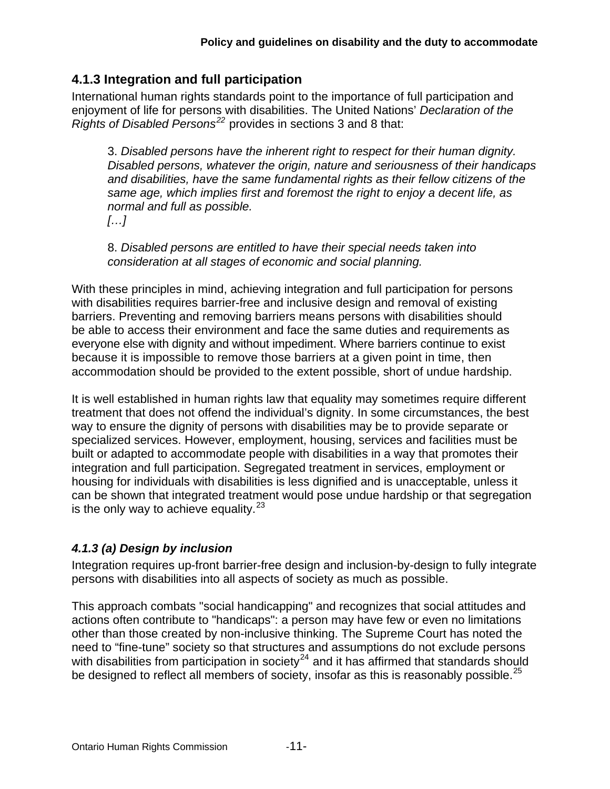## <span id="page-10-0"></span>**4.1.3 Integration and full participation**

International human rights standards point to the importance of full participation and enjoyment of life for persons with disabilities. The United Nations' *Declaration of the Rights of Disabled Persons[22](#page-37-3)* provides in sections 3 and 8 that:

3. *Disabled persons have the inherent right to respect for their human dignity. Disabled persons, whatever the origin, nature and seriousness of their handicaps and disabilities, have the same fundamental rights as their fellow citizens of the same age, which implies first and foremost the right to enjoy a decent life, as normal and full as possible. […]* 

8. *Disabled persons are entitled to have their special needs taken into consideration at all stages of economic and social planning.* 

With these principles in mind, achieving integration and full participation for persons with disabilities requires barrier-free and inclusive design and removal of existing barriers. Preventing and removing barriers means persons with disabilities should be able to access their environment and face the same duties and requirements as everyone else with dignity and without impediment. Where barriers continue to exist because it is impossible to remove those barriers at a given point in time, then accommodation should be provided to the extent possible, short of undue hardship.

It is well established in human rights law that equality may sometimes require different treatment that does not offend the individual's dignity. In some circumstances, the best way to ensure the dignity of persons with disabilities may be to provide separate or specialized services. However, employment, housing, services and facilities must be built or adapted to accommodate people with disabilities in a way that promotes their integration and full participation. Segregated treatment in services, employment or housing for individuals with disabilities is less dignified and is unacceptable, unless it can be shown that integrated treatment would pose undue hardship or that segregation is the only way to achieve equality.  $23$ 

#### *4.1.3 (a) Design by inclusion*

Integration requires up-front barrier-free design and inclusion-by-design to fully integrate persons with disabilities into all aspects of society as much as possible.

This approach combats "social handicapping" and recognizes that social attitudes and actions often contribute to "handicaps": a person may have few or even no limitations other than those created by non-inclusive thinking. The Supreme Court has noted the need to "fine-tune" society so that structures and assumptions do not exclude persons with disabilities from participation in society<sup>[24](#page-37-5)</sup> and it has affirmed that standards should be designed to reflect all members of society, insofar as this is reasonably possible. $^{25}$  $^{25}$  $^{25}$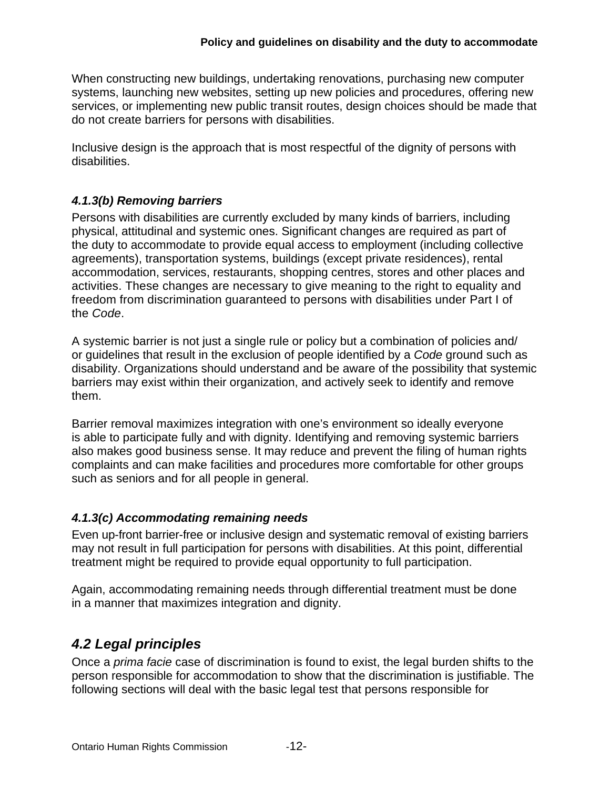When constructing new buildings, undertaking renovations, purchasing new computer systems, launching new websites, setting up new policies and procedures, offering new services, or implementing new public transit routes, design choices should be made that do not create barriers for persons with disabilities.

Inclusive design is the approach that is most respectful of the dignity of persons with disabilities.

#### *4.1.3(b) Removing barriers*

Persons with disabilities are currently excluded by many kinds of barriers, including physical, attitudinal and systemic ones. Significant changes are required as part of the duty to accommodate to provide equal access to employment (including collective agreements), transportation systems, buildings (except private residences), rental accommodation, services, restaurants, shopping centres, stores and other places and activities. These changes are necessary to give meaning to the right to equality and freedom from discrimination guaranteed to persons with disabilities under Part I of the *Code*.

A systemic barrier is not just a single rule or policy but a combination of policies and/ or guidelines that result in the exclusion of people identified by a *Code* ground such as disability. Organizations should understand and be aware of the possibility that systemic barriers may exist within their organization, and actively seek to identify and remove them.

Barrier removal maximizes integration with one's environment so ideally everyone is able to participate fully and with dignity. Identifying and removing systemic barriers also makes good business sense. It may reduce and prevent the filing of human rights complaints and can make facilities and procedures more comfortable for other groups such as seniors and for all people in general.

#### *4.1.3(c) Accommodating remaining needs*

Even up-front barrier-free or inclusive design and systematic removal of existing barriers may not result in full participation for persons with disabilities. At this point, differential treatment might be required to provide equal opportunity to full participation.

Again, accommodating remaining needs through differential treatment must be done in a manner that maximizes integration and dignity.

## <span id="page-11-0"></span>*4.2 Legal principles*

Once a *prima facie* case of discrimination is found to exist, the legal burden shifts to the person responsible for accommodation to show that the discrimination is justifiable. The following sections will deal with the basic legal test that persons responsible for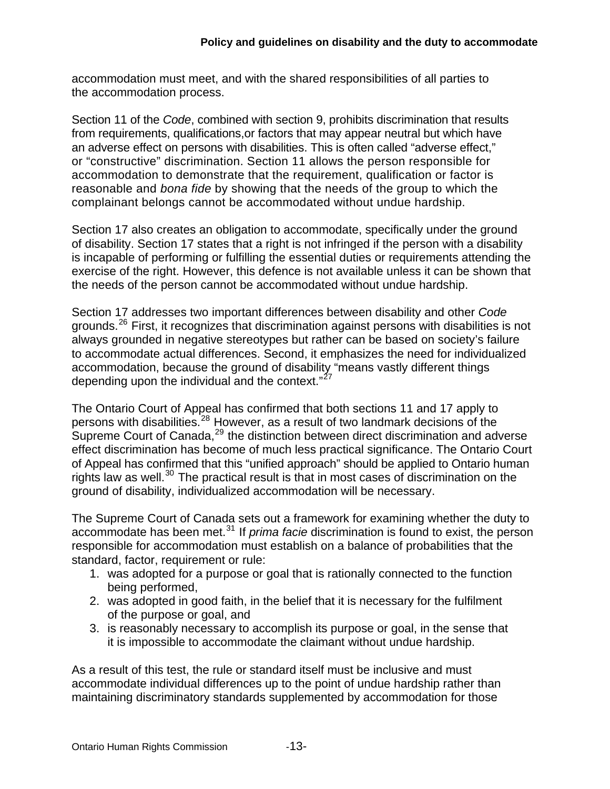accommodation must meet, and with the shared responsibilities of all parties to the accommodation process.

Section 11 of the *Code*, combined with section 9, prohibits discrimination that results from requirements, qualifications,or factors that may appear neutral but which have an adverse effect on persons with disabilities. This is often called "adverse effect," or "constructive" discrimination. Section 11 allows the person responsible for accommodation to demonstrate that the requirement, qualification or factor is reasonable and *bona fide* by showing that the needs of the group to which the complainant belongs cannot be accommodated without undue hardship.

Section 17 also creates an obligation to accommodate, specifically under the ground of disability. Section 17 states that a right is not infringed if the person with a disability is incapable of performing or fulfilling the essential duties or requirements attending the exercise of the right. However, this defence is not available unless it can be shown that the needs of the person cannot be accommodated without undue hardship.

Section 17 addresses two important differences between disability and other *Code* grounds.[26](#page-37-7) First, it recognizes that discrimination against persons with disabilities is not always grounded in negative stereotypes but rather can be based on society's failure to accommodate actual differences. Second, it emphasizes the need for individualized accommodation, because the ground of disability "means vastly different things depending upon the individual and the context."<sup>[27](#page-37-8)</sup>

The Ontario Court of Appeal has confirmed that both sections 11 and 17 apply to persons with disabilities.[28](#page-37-9) However, as a result of two landmark decisions of the Supreme Court of Canada, $29$  the distinction between direct discrimination and adverse effect discrimination has become of much less practical significance. The Ontario Court of Appeal has confirmed that this "unified approach" should be applied to Ontario human rights law as well.<sup>[30](#page-37-11)</sup> The practical result is that in most cases of discrimination on the ground of disability, individualized accommodation will be necessary.

The Supreme Court of Canada sets out a framework for examining whether the duty to accommodate has been met.[31](#page-37-12) If *prima facie* discrimination is found to exist, the person responsible for accommodation must establish on a balance of probabilities that the standard, factor, requirement or rule:

- 1. was adopted for a purpose or goal that is rationally connected to the function being performed,
- 2. was adopted in good faith, in the belief that it is necessary for the fulfilment of the purpose or goal, and
- 3. is reasonably necessary to accomplish its purpose or goal, in the sense that it is impossible to accommodate the claimant without undue hardship.

As a result of this test, the rule or standard itself must be inclusive and must accommodate individual differences up to the point of undue hardship rather than maintaining discriminatory standards supplemented by accommodation for those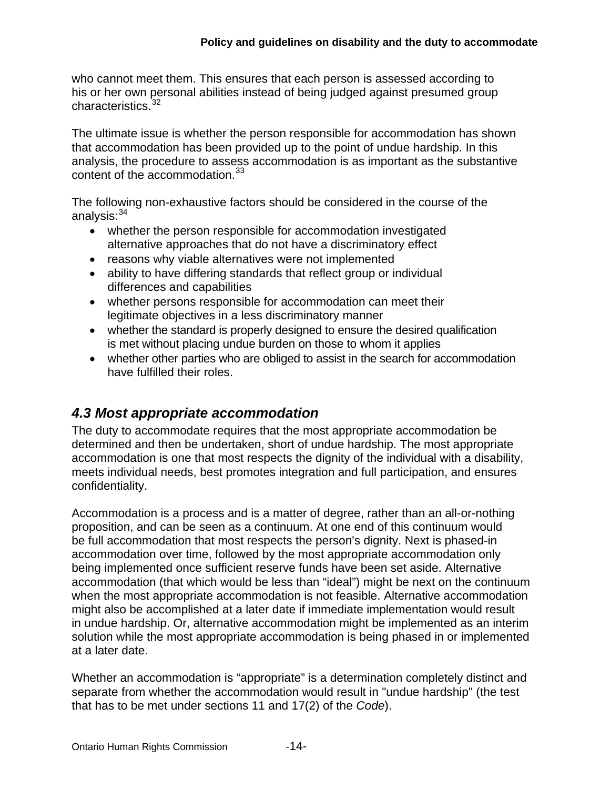who cannot meet them. This ensures that each person is assessed according to his or her own personal abilities instead of being judged against presumed group characteristics.<sup>[32](#page-37-13)</sup>

The ultimate issue is whether the person responsible for accommodation has shown that accommodation has been provided up to the point of undue hardship. In this analysis, the procedure to assess accommodation is as important as the substantive content of the accommodation.<sup>[33](#page-37-14)</sup>

The following non-exhaustive factors should be considered in the course of the analysis: [34](#page-37-15)

- whether the person responsible for accommodation investigated alternative approaches that do not have a discriminatory effect
- reasons why viable alternatives were not implemented
- ability to have differing standards that reflect group or individual differences and capabilities
- whether persons responsible for accommodation can meet their legitimate objectives in a less discriminatory manner
- whether the standard is properly designed to ensure the desired qualification is met without placing undue burden on those to whom it applies
- whether other parties who are obliged to assist in the search for accommodation have fulfilled their roles.

## <span id="page-13-0"></span>*4.3 Most appropriate accommodation*

The duty to accommodate requires that the most appropriate accommodation be determined and then be undertaken, short of undue hardship. The most appropriate accommodation is one that most respects the dignity of the individual with a disability, meets individual needs, best promotes integration and full participation, and ensures confidentiality.

Accommodation is a process and is a matter of degree, rather than an all-or-nothing proposition, and can be seen as a continuum. At one end of this continuum would be full accommodation that most respects the person's dignity. Next is phased-in accommodation over time, followed by the most appropriate accommodation only being implemented once sufficient reserve funds have been set aside. Alternative accommodation (that which would be less than "ideal") might be next on the continuum when the most appropriate accommodation is not feasible. Alternative accommodation might also be accomplished at a later date if immediate implementation would result in undue hardship. Or, alternative accommodation might be implemented as an interim solution while the most appropriate accommodation is being phased in or implemented at a later date.

Whether an accommodation is "appropriate" is a determination completely distinct and separate from whether the accommodation would result in "undue hardship" (the test that has to be met under sections 11 and 17(2) of the *Code*).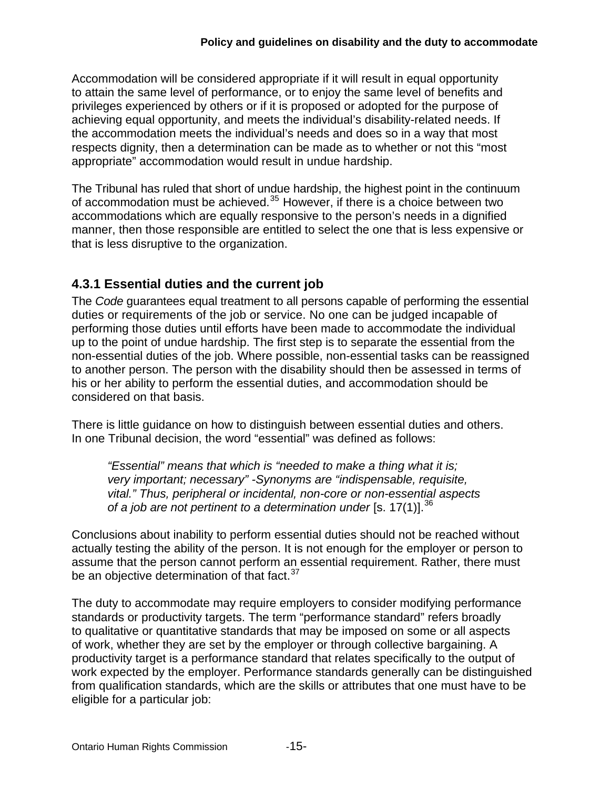Accommodation will be considered appropriate if it will result in equal opportunity to attain the same level of performance, or to enjoy the same level of benefits and privileges experienced by others or if it is proposed or adopted for the purpose of achieving equal opportunity, and meets the individual's disability-related needs. If the accommodation meets the individual's needs and does so in a way that most respects dignity, then a determination can be made as to whether or not this "most appropriate" accommodation would result in undue hardship.

The Tribunal has ruled that short of undue hardship, the highest point in the continuum of accommodation must be achieved. $35$  However, if there is a choice between two accommodations which are equally responsive to the person's needs in a dignified manner, then those responsible are entitled to select the one that is less expensive or that is less disruptive to the organization.

## <span id="page-14-0"></span>**4.3.1 Essential duties and the current job**

The *Code* guarantees equal treatment to all persons capable of performing the essential duties or requirements of the job or service. No one can be judged incapable of performing those duties until efforts have been made to accommodate the individual up to the point of undue hardship. The first step is to separate the essential from the non-essential duties of the job. Where possible, non-essential tasks can be reassigned to another person. The person with the disability should then be assessed in terms of his or her ability to perform the essential duties, and accommodation should be considered on that basis.

There is little guidance on how to distinguish between essential duties and others. In one Tribunal decision, the word "essential" was defined as follows:

*"Essential" means that which is "needed to make a thing what it is; very important; necessary" -Synonyms are "indispensable, requisite, vital." Thus, peripheral or incidental, non-core or non-essential aspects of a job are not pertinent to a determination under* [s. 17(1)].[36](#page-37-17)

Conclusions about inability to perform essential duties should not be reached without actually testing the ability of the person. It is not enough for the employer or person to assume that the person cannot perform an essential requirement. Rather, there must be an objective determination of that fact.<sup>[37](#page-37-18)</sup>

The duty to accommodate may require employers to consider modifying performance standards or productivity targets. The term "performance standard" refers broadly to qualitative or quantitative standards that may be imposed on some or all aspects of work, whether they are set by the employer or through collective bargaining. A productivity target is a performance standard that relates specifically to the output of work expected by the employer. Performance standards generally can be distinguished from qualification standards, which are the skills or attributes that one must have to be eligible for a particular job: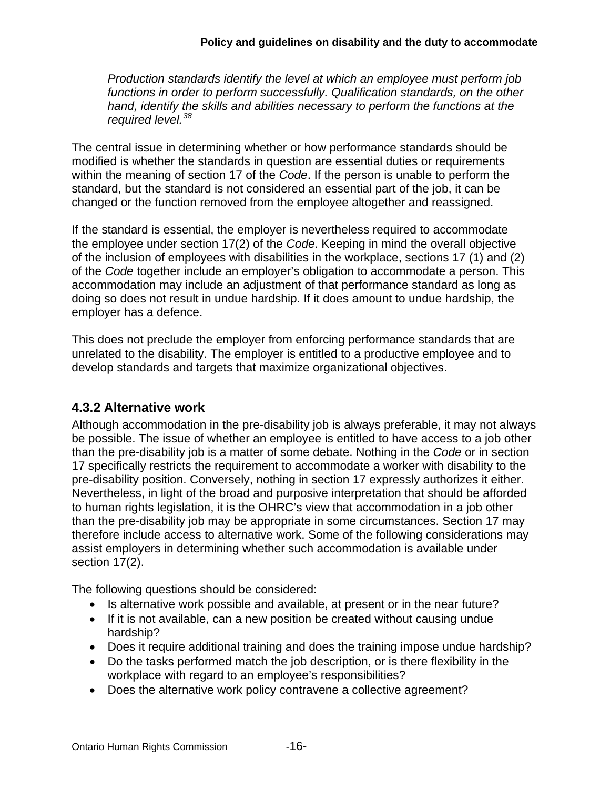*Production standards identify the level at which an employee must perform job functions in order to perform successfully. Qualification standards, on the other hand, identify the skills and abilities necessary to perform the functions at the required level.[38](#page-37-19)*

The central issue in determining whether or how performance standards should be modified is whether the standards in question are essential duties or requirements within the meaning of section 17 of the *Code*. If the person is unable to perform the standard, but the standard is not considered an essential part of the job, it can be changed or the function removed from the employee altogether and reassigned.

If the standard is essential, the employer is nevertheless required to accommodate the employee under section 17(2) of the *Code*. Keeping in mind the overall objective of the inclusion of employees with disabilities in the workplace, sections 17 (1) and (2) of the *Code* together include an employer's obligation to accommodate a person. This accommodation may include an adjustment of that performance standard as long as doing so does not result in undue hardship. If it does amount to undue hardship, the employer has a defence.

This does not preclude the employer from enforcing performance standards that are unrelated to the disability. The employer is entitled to a productive employee and to develop standards and targets that maximize organizational objectives.

#### <span id="page-15-0"></span>**4.3.2 Alternative work**

Although accommodation in the pre-disability job is always preferable, it may not always be possible. The issue of whether an employee is entitled to have access to a job other than the pre-disability job is a matter of some debate. Nothing in the *Code* or in section 17 specifically restricts the requirement to accommodate a worker with disability to the pre-disability position. Conversely, nothing in section 17 expressly authorizes it either. Nevertheless, in light of the broad and purposive interpretation that should be afforded to human rights legislation, it is the OHRC's view that accommodation in a job other than the pre-disability job may be appropriate in some circumstances. Section 17 may therefore include access to alternative work. Some of the following considerations may assist employers in determining whether such accommodation is available under section 17(2).

The following questions should be considered:

- Is alternative work possible and available, at present or in the near future?
- If it is not available, can a new position be created without causing undue hardship?
- Does it require additional training and does the training impose undue hardship?
- Do the tasks performed match the job description, or is there flexibility in the workplace with regard to an employee's responsibilities?
- Does the alternative work policy contravene a collective agreement?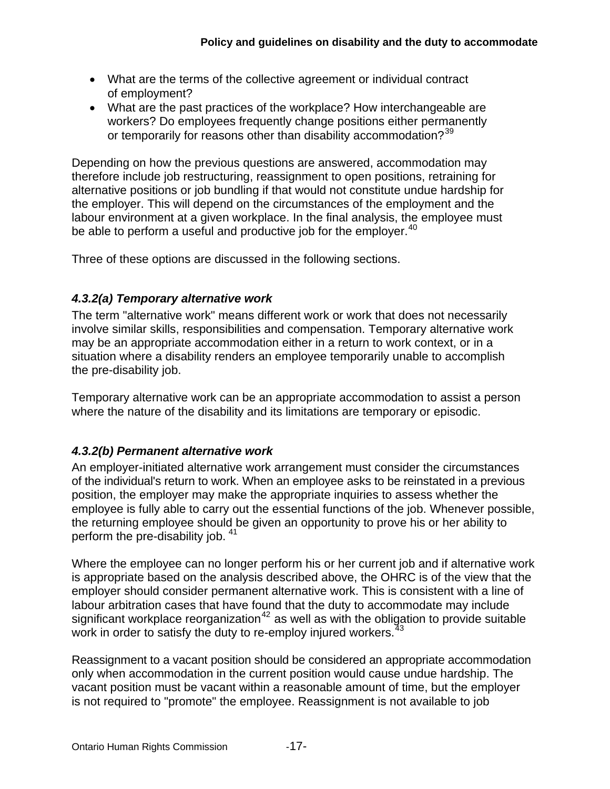- What are the terms of the collective agreement or individual contract of employment?
- What are the past practices of the workplace? How interchangeable are workers? Do employees frequently change positions either permanently or temporarily for reasons other than disability accommodation?<sup>[39](#page-37-20)</sup>

Depending on how the previous questions are answered, accommodation may therefore include job restructuring, reassignment to open positions, retraining for alternative positions or job bundling if that would not constitute undue hardship for the employer. This will depend on the circumstances of the employment and the labour environment at a given workplace. In the final analysis, the employee must be able to perform a useful and productive job for the employer.<sup>[40](#page-37-21)</sup>

Three of these options are discussed in the following sections.

#### *4.3.2(a) Temporary alternative work*

The term "alternative work" means different work or work that does not necessarily involve similar skills, responsibilities and compensation. Temporary alternative work may be an appropriate accommodation either in a return to work context, or in a situation where a disability renders an employee temporarily unable to accomplish the pre-disability job.

Temporary alternative work can be an appropriate accommodation to assist a person where the nature of the disability and its limitations are temporary or episodic.

#### *4.3.2(b) Permanent alternative work*

An employer-initiated alternative work arrangement must consider the circumstances of the individual's return to work. When an employee asks to be reinstated in a previous position, the employer may make the appropriate inquiries to assess whether the employee is fully able to carry out the essential functions of the job. Whenever possible, the returning employee should be given an opportunity to prove his or her ability to perform the pre-disability job. <sup>[41](#page-37-22)</sup>

Where the employee can no longer perform his or her current job and if alternative work is appropriate based on the analysis described above, the OHRC is of the view that the employer should consider permanent alternative work. This is consistent with a line of labour arbitration cases that have found that the duty to accommodate may include significant workplace reorganization<sup>[42](#page-38-0)</sup> as well as with the obligation to provide suitable work in order to satisfy the duty to re-employ injured workers.<sup>[43](#page-38-1)</sup>

Reassignment to a vacant position should be considered an appropriate accommodation only when accommodation in the current position would cause undue hardship. The vacant position must be vacant within a reasonable amount of time, but the employer is not required to "promote" the employee. Reassignment is not available to job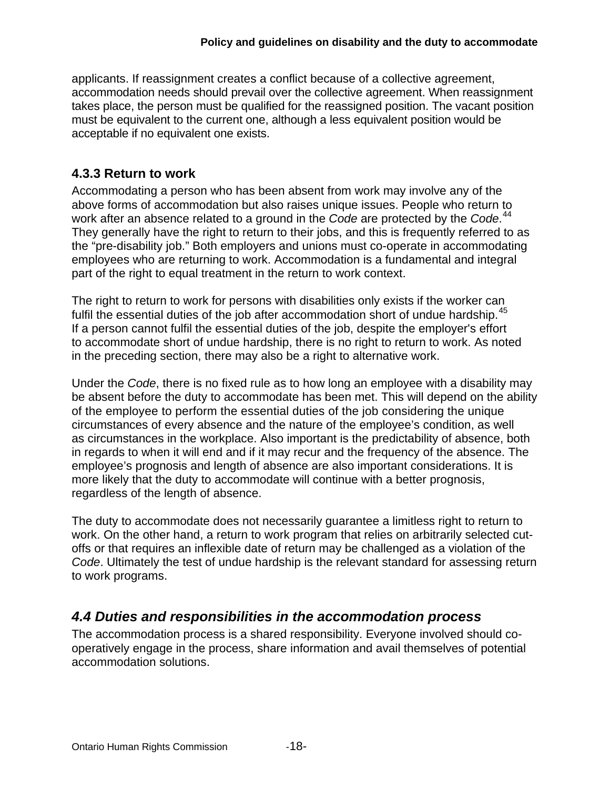applicants. If reassignment creates a conflict because of a collective agreement, accommodation needs should prevail over the collective agreement. When reassignment takes place, the person must be qualified for the reassigned position. The vacant position must be equivalent to the current one, although a less equivalent position would be acceptable if no equivalent one exists.

## <span id="page-17-0"></span>**4.3.3 Return to work**

Accommodating a person who has been absent from work may involve any of the above forms of accommodation but also raises unique issues. People who return to work after an absence related to a ground in the *Code* are protected by the *Code*. [44](#page-38-2) They generally have the right to return to their jobs, and this is frequently referred to as the "pre-disability job." Both employers and unions must co-operate in accommodating employees who are returning to work. Accommodation is a fundamental and integral part of the right to equal treatment in the return to work context.

The right to return to work for persons with disabilities only exists if the worker can fulfil the essential duties of the job after accommodation short of undue hardship.<sup>[45](#page-38-3)</sup> If a person cannot fulfil the essential duties of the job, despite the employer's effort to accommodate short of undue hardship, there is no right to return to work. As noted in the preceding section, there may also be a right to alternative work.

Under the *Code*, there is no fixed rule as to how long an employee with a disability may be absent before the duty to accommodate has been met. This will depend on the ability of the employee to perform the essential duties of the job considering the unique circumstances of every absence and the nature of the employee's condition, as well as circumstances in the workplace. Also important is the predictability of absence, both in regards to when it will end and if it may recur and the frequency of the absence. The employee's prognosis and length of absence are also important considerations. It is more likely that the duty to accommodate will continue with a better prognosis, regardless of the length of absence.

The duty to accommodate does not necessarily guarantee a limitless right to return to work. On the other hand, a return to work program that relies on arbitrarily selected cutoffs or that requires an inflexible date of return may be challenged as a violation of the *Code*. Ultimately the test of undue hardship is the relevant standard for assessing return to work programs.

## <span id="page-17-1"></span>*4.4 Duties and responsibilities in the accommodation process*

The accommodation process is a shared responsibility. Everyone involved should cooperatively engage in the process, share information and avail themselves of potential accommodation solutions.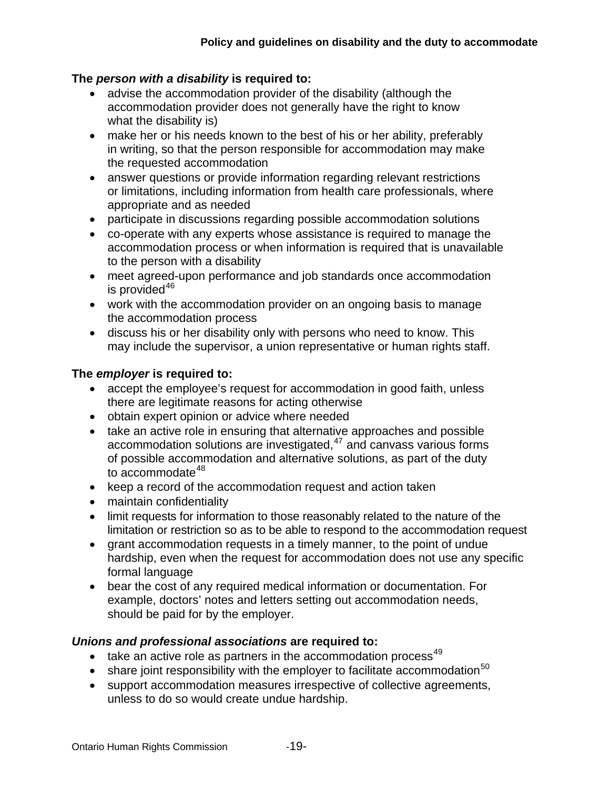#### **The** *person with a disability* **is required to:**

- advise the accommodation provider of the disability (although the accommodation provider does not generally have the right to know what the disability is)
- make her or his needs known to the best of his or her ability, preferably in writing, so that the person responsible for accommodation may make the requested accommodation
- answer questions or provide information regarding relevant restrictions or limitations, including information from health care professionals, where appropriate and as needed
- participate in discussions regarding possible accommodation solutions
- co-operate with any experts whose assistance is required to manage the accommodation process or when information is required that is unavailable to the person with a disability
- meet agreed-upon performance and job standards once accommodation is provided $46$
- work with the accommodation provider on an ongoing basis to manage the accommodation process
- discuss his or her disability only with persons who need to know. This may include the supervisor, a union representative or human rights staff.

#### **The** *employer* **is required to:**

- accept the employee's request for accommodation in good faith, unless there are legitimate reasons for acting otherwise
- obtain expert opinion or advice where needed
- take an active role in ensuring that alternative approaches and possible accommodation solutions are investigated,<sup>[47](#page-38-5)</sup> and canvass various forms of possible accommodation and alternative solutions, as part of the duty to  $\arccos$  accommodate<sup>[48](#page-38-6)</sup>
- keep a record of the accommodation request and action taken
- maintain confidentiality
- limit requests for information to those reasonably related to the nature of the limitation or restriction so as to be able to respond to the accommodation request
- grant accommodation requests in a timely manner, to the point of undue hardship, even when the request for accommodation does not use any specific formal language
- bear the cost of any required medical information or documentation. For example, doctors' notes and letters setting out accommodation needs, should be paid for by the employer.

#### *Unions and professional associations* **are required to:**

- take an active role as partners in the accommodation process<sup>[49](#page-38-7)</sup>
- **•** share joint responsibility with the employer to facilitate accommodation<sup>[50](#page-38-8)</sup>
- support accommodation measures irrespective of collective agreements, unless to do so would create undue hardship.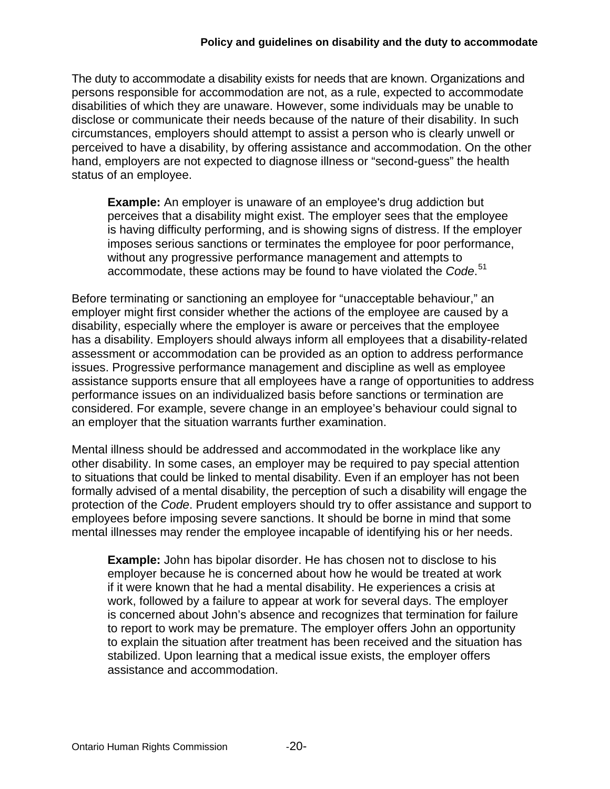#### **Policy and guidelines on disability and the duty to accommodate**

The duty to accommodate a disability exists for needs that are known. Organizations and persons responsible for accommodation are not, as a rule, expected to accommodate disabilities of which they are unaware. However, some individuals may be unable to disclose or communicate their needs because of the nature of their disability. In such circumstances, employers should attempt to assist a person who is clearly unwell or perceived to have a disability, by offering assistance and accommodation. On the other hand, employers are not expected to diagnose illness or "second-guess" the health status of an employee.

**Example:** An employer is unaware of an employee's drug addiction but perceives that a disability might exist. The employer sees that the employee is having difficulty performing, and is showing signs of distress. If the employer imposes serious sanctions or terminates the employee for poor performance, without any progressive performance management and attempts to accommodate, these actions may be found to have violated the *Code*. [51](#page-38-9)

Before terminating or sanctioning an employee for "unacceptable behaviour," an employer might first consider whether the actions of the employee are caused by a disability, especially where the employer is aware or perceives that the employee has a disability. Employers should always inform all employees that a disability-related assessment or accommodation can be provided as an option to address performance issues. Progressive performance management and discipline as well as employee assistance supports ensure that all employees have a range of opportunities to address performance issues on an individualized basis before sanctions or termination are considered. For example, severe change in an employee's behaviour could signal to an employer that the situation warrants further examination.

Mental illness should be addressed and accommodated in the workplace like any other disability. In some cases, an employer may be required to pay special attention to situations that could be linked to mental disability. Even if an employer has not been formally advised of a mental disability, the perception of such a disability will engage the protection of the *Code*. Prudent employers should try to offer assistance and support to employees before imposing severe sanctions. It should be borne in mind that some mental illnesses may render the employee incapable of identifying his or her needs.

**Example:** John has bipolar disorder. He has chosen not to disclose to his employer because he is concerned about how he would be treated at work if it were known that he had a mental disability. He experiences a crisis at work, followed by a failure to appear at work for several days. The employer is concerned about John's absence and recognizes that termination for failure to report to work may be premature. The employer offers John an opportunity to explain the situation after treatment has been received and the situation has stabilized. Upon learning that a medical issue exists, the employer offers assistance and accommodation.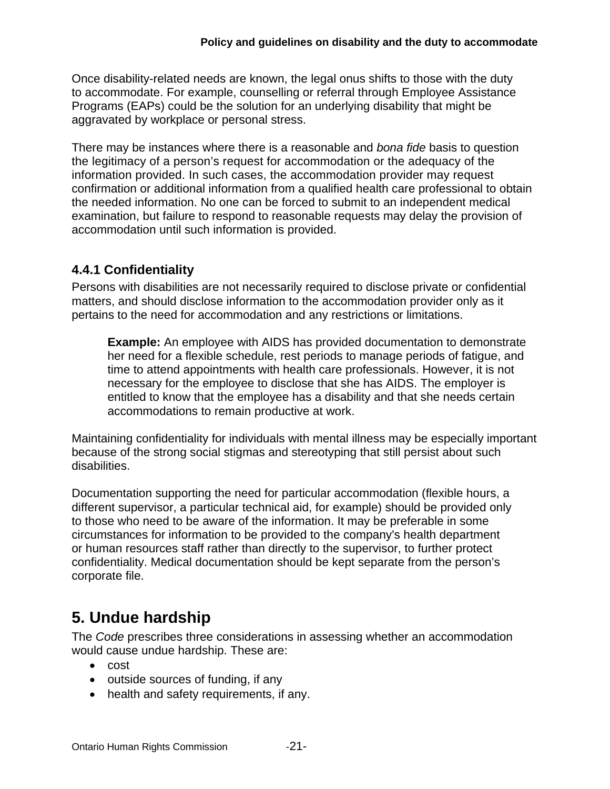Once disability-related needs are known, the legal onus shifts to those with the duty to accommodate. For example, counselling or referral through Employee Assistance Programs (EAPs) could be the solution for an underlying disability that might be aggravated by workplace or personal stress.

There may be instances where there is a reasonable and *bona fide* basis to question the legitimacy of a person's request for accommodation or the adequacy of the information provided. In such cases, the accommodation provider may request confirmation or additional information from a qualified health care professional to obtain the needed information. No one can be forced to submit to an independent medical examination, but failure to respond to reasonable requests may delay the provision of accommodation until such information is provided.

## <span id="page-20-0"></span>**4.4.1 Confidentiality**

Persons with disabilities are not necessarily required to disclose private or confidential matters, and should disclose information to the accommodation provider only as it pertains to the need for accommodation and any restrictions or limitations.

**Example:** An employee with AIDS has provided documentation to demonstrate her need for a flexible schedule, rest periods to manage periods of fatigue, and time to attend appointments with health care professionals. However, it is not necessary for the employee to disclose that she has AIDS. The employer is entitled to know that the employee has a disability and that she needs certain accommodations to remain productive at work.

Maintaining confidentiality for individuals with mental illness may be especially important because of the strong social stigmas and stereotyping that still persist about such disabilities.

Documentation supporting the need for particular accommodation (flexible hours, a different supervisor, a particular technical aid, for example) should be provided only to those who need to be aware of the information. It may be preferable in some circumstances for information to be provided to the company's health department or human resources staff rather than directly to the supervisor, to further protect confidentiality. Medical documentation should be kept separate from the person's corporate file.

# <span id="page-20-1"></span>**5. Undue hardship**

The *Code* prescribes three considerations in assessing whether an accommodation would cause undue hardship. These are:

- cost
- outside sources of funding, if any
- health and safety requirements, if any.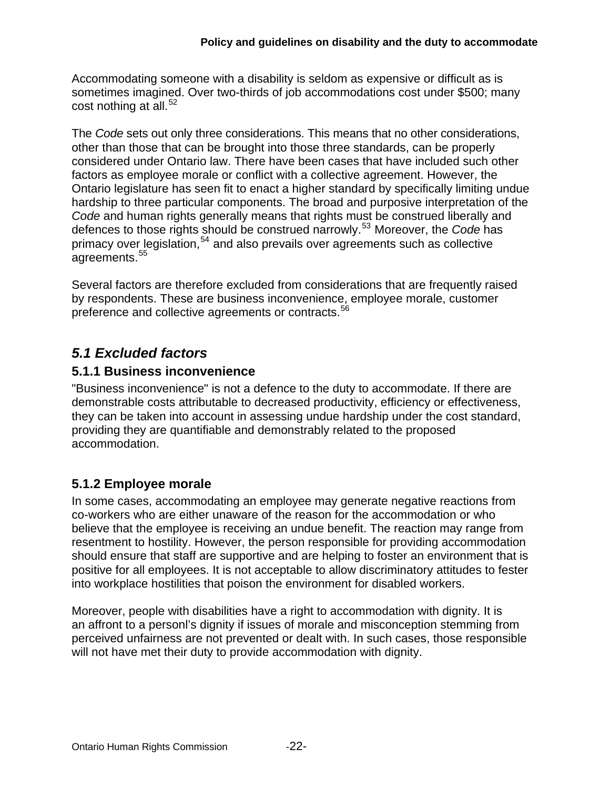Accommodating someone with a disability is seldom as expensive or difficult as is sometimes imagined. Over two-thirds of job accommodations cost under \$500; many cost nothing at all. $52$ 

The *Code* sets out only three considerations. This means that no other considerations, other than those that can be brought into those three standards, can be properly considered under Ontario law. There have been cases that have included such other factors as employee morale or conflict with a collective agreement. However, the Ontario legislature has seen fit to enact a higher standard by specifically limiting undue hardship to three particular components. The broad and purposive interpretation of the *Code* and human rights generally means that rights must be construed liberally and defences to those rights should be construed narrowly.[53](#page-38-11) Moreover, the *Code* has primacy over legislation,<sup>[54](#page-38-12)</sup> and also prevails over agreements such as collective agreements.<sup>[55](#page-38-13)</sup>

Several factors are therefore excluded from considerations that are frequently raised by respondents. These are business inconvenience, employee morale, customer preference and collective agreements or contracts.<sup>[56](#page-38-14)</sup>

## <span id="page-21-0"></span>*5.1 Excluded factors*

#### <span id="page-21-1"></span>**5.1.1 Business inconvenience**

"Business inconvenience" is not a defence to the duty to accommodate. If there are demonstrable costs attributable to decreased productivity, efficiency or effectiveness, they can be taken into account in assessing undue hardship under the cost standard, providing they are quantifiable and demonstrably related to the proposed accommodation.

#### <span id="page-21-2"></span>**5.1.2 Employee morale**

In some cases, accommodating an employee may generate negative reactions from co-workers who are either unaware of the reason for the accommodation or who believe that the employee is receiving an undue benefit. The reaction may range from resentment to hostility. However, the person responsible for providing accommodation should ensure that staff are supportive and are helping to foster an environment that is positive for all employees. It is not acceptable to allow discriminatory attitudes to fester into workplace hostilities that poison the environment for disabled workers.

Moreover, people with disabilities have a right to accommodation with dignity. It is an affront to a personl's dignity if issues of morale and misconception stemming from perceived unfairness are not prevented or dealt with. In such cases, those responsible will not have met their duty to provide accommodation with dignity.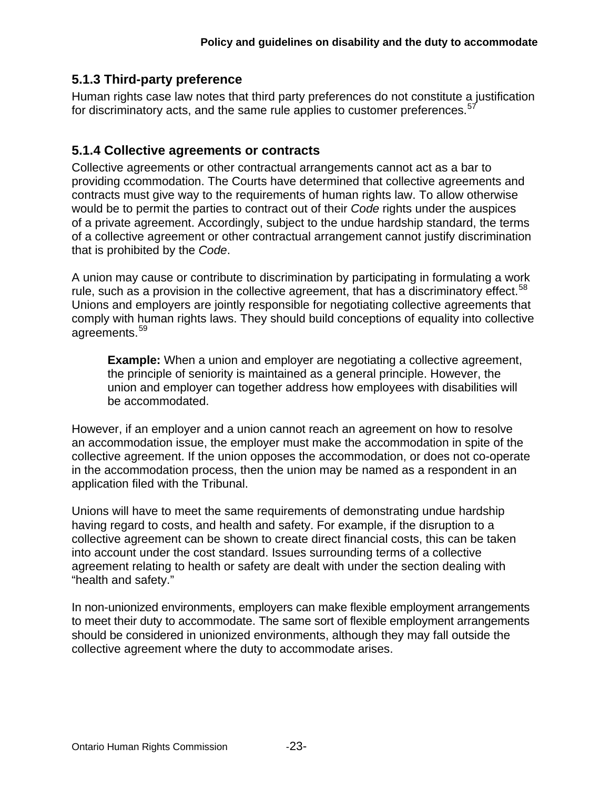#### <span id="page-22-0"></span>**5.1.3 Third-party preference**

Human rights case law notes that third party preferences do not constitute a justification for discriminatory acts, and the same rule applies to customer preferences.<sup>[57](#page-38-15)</sup>

#### <span id="page-22-1"></span>**5.1.4 Collective agreements or contracts**

Collective agreements or other contractual arrangements cannot act as a bar to providing ccommodation. The Courts have determined that collective agreements and contracts must give way to the requirements of human rights law. To allow otherwise would be to permit the parties to contract out of their *Code* rights under the auspices of a private agreement. Accordingly, subject to the undue hardship standard, the terms of a collective agreement or other contractual arrangement cannot justify discrimination that is prohibited by the *Code*.

A union may cause or contribute to discrimination by participating in formulating a work rule, such as a provision in the collective agreement, that has a discriminatory effect.<sup>[58](#page-38-16)</sup> Unions and employers are jointly responsible for negotiating collective agreements that comply with human rights laws. They should build conceptions of equality into collective agreements.[59](#page-38-17)

**Example:** When a union and employer are negotiating a collective agreement, the principle of seniority is maintained as a general principle. However, the union and employer can together address how employees with disabilities will be accommodated.

However, if an employer and a union cannot reach an agreement on how to resolve an accommodation issue, the employer must make the accommodation in spite of the collective agreement. If the union opposes the accommodation, or does not co-operate in the accommodation process, then the union may be named as a respondent in an application filed with the Tribunal.

Unions will have to meet the same requirements of demonstrating undue hardship having regard to costs, and health and safety. For example, if the disruption to a collective agreement can be shown to create direct financial costs, this can be taken into account under the cost standard. Issues surrounding terms of a collective agreement relating to health or safety are dealt with under the section dealing with "health and safety."

In non-unionized environments, employers can make flexible employment arrangements to meet their duty to accommodate. The same sort of flexible employment arrangements should be considered in unionized environments, although they may fall outside the collective agreement where the duty to accommodate arises.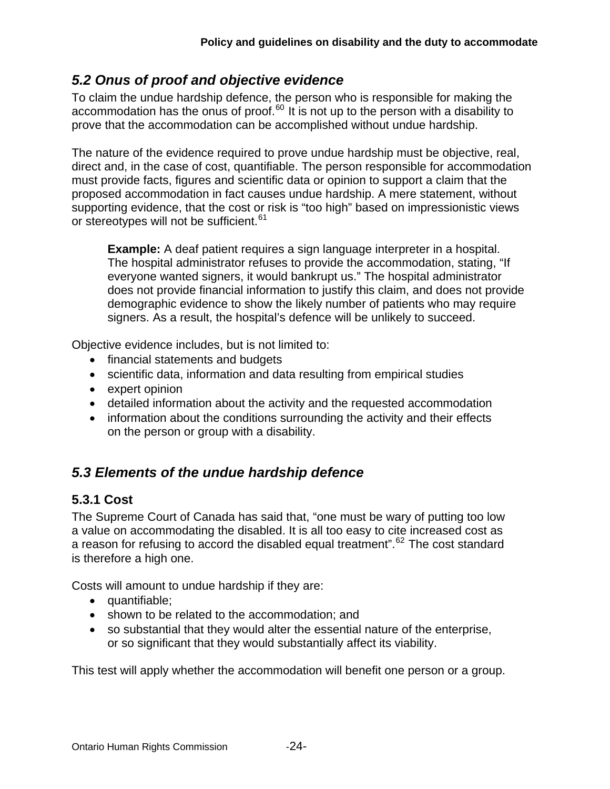## <span id="page-23-0"></span>*5.2 Onus of proof and objective evidence*

To claim the undue hardship defence, the person who is responsible for making the accommodation has the onus of proof. $^{60}$  $^{60}$  $^{60}$  It is not up to the person with a disability to prove that the accommodation can be accomplished without undue hardship.

The nature of the evidence required to prove undue hardship must be objective, real, direct and, in the case of cost, quantifiable. The person responsible for accommodation must provide facts, figures and scientific data or opinion to support a claim that the proposed accommodation in fact causes undue hardship. A mere statement, without supporting evidence, that the cost or risk is "too high" based on impressionistic views or stereotypes will not be sufficient.<sup>[61](#page-38-19)</sup>

**Example:** A deaf patient requires a sign language interpreter in a hospital. The hospital administrator refuses to provide the accommodation, stating, "If everyone wanted signers, it would bankrupt us." The hospital administrator does not provide financial information to justify this claim, and does not provide demographic evidence to show the likely number of patients who may require signers. As a result, the hospital's defence will be unlikely to succeed.

Objective evidence includes, but is not limited to:

- financial statements and budgets
- scientific data, information and data resulting from empirical studies
- expert opinion
- detailed information about the activity and the requested accommodation
- information about the conditions surrounding the activity and their effects on the person or group with a disability.

## <span id="page-23-1"></span>*5.3 Elements of the undue hardship defence*

#### <span id="page-23-2"></span>**5.3.1 Cost**

The Supreme Court of Canada has said that, "one must be wary of putting too low a value on accommodating the disabled. It is all too easy to cite increased cost as a reason for refusing to accord the disabled equal treatment".<sup>[62](#page-39-0)</sup> The cost standard is therefore a high one.

Costs will amount to undue hardship if they are:

- quantifiable;
- shown to be related to the accommodation: and
- so substantial that they would alter the essential nature of the enterprise, or so significant that they would substantially affect its viability.

This test will apply whether the accommodation will benefit one person or a group.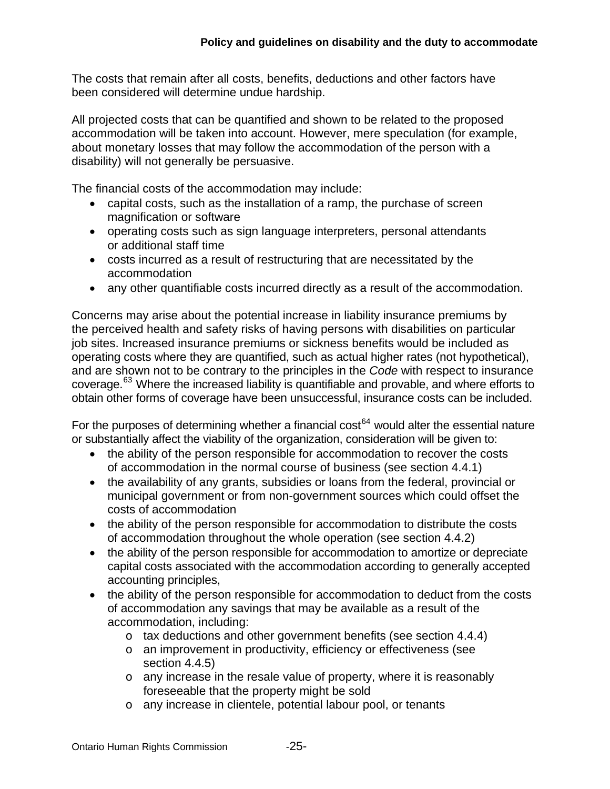The costs that remain after all costs, benefits, deductions and other factors have been considered will determine undue hardship.

All projected costs that can be quantified and shown to be related to the proposed accommodation will be taken into account. However, mere speculation (for example, about monetary losses that may follow the accommodation of the person with a disability) will not generally be persuasive.

The financial costs of the accommodation may include:

- capital costs, such as the installation of a ramp, the purchase of screen magnification or software
- operating costs such as sign language interpreters, personal attendants or additional staff time
- costs incurred as a result of restructuring that are necessitated by the accommodation
- any other quantifiable costs incurred directly as a result of the accommodation.

Concerns may arise about the potential increase in liability insurance premiums by the perceived health and safety risks of having persons with disabilities on particular job sites. Increased insurance premiums or sickness benefits would be included as operating costs where they are quantified, such as actual higher rates (not hypothetical), and are shown not to be contrary to the principles in the *Code* with respect to insurance coverage.<sup>[63](#page-39-1)</sup> Where the increased liability is quantifiable and provable, and where efforts to obtain other forms of coverage have been unsuccessful, insurance costs can be included.

For the purposes of determining whether a financial cost<sup>[64](#page-39-2)</sup> would alter the essential nature or substantially affect the viability of the organization, consideration will be given to:

- the ability of the person responsible for accommodation to recover the costs of accommodation in the normal course of business (see section 4.4.1)
- the availability of any grants, subsidies or loans from the federal, provincial or municipal government or from non-government sources which could offset the costs of accommodation
- the ability of the person responsible for accommodation to distribute the costs of accommodation throughout the whole operation (see section 4.4.2)
- the ability of the person responsible for accommodation to amortize or depreciate capital costs associated with the accommodation according to generally accepted accounting principles,
- the ability of the person responsible for accommodation to deduct from the costs of accommodation any savings that may be available as a result of the accommodation, including:
	- o tax deductions and other government benefits (see section 4.4.4)
	- o an improvement in productivity, efficiency or effectiveness (see section 4.4.5)
	- o any increase in the resale value of property, where it is reasonably foreseeable that the property might be sold
	- o any increase in clientele, potential labour pool, or tenants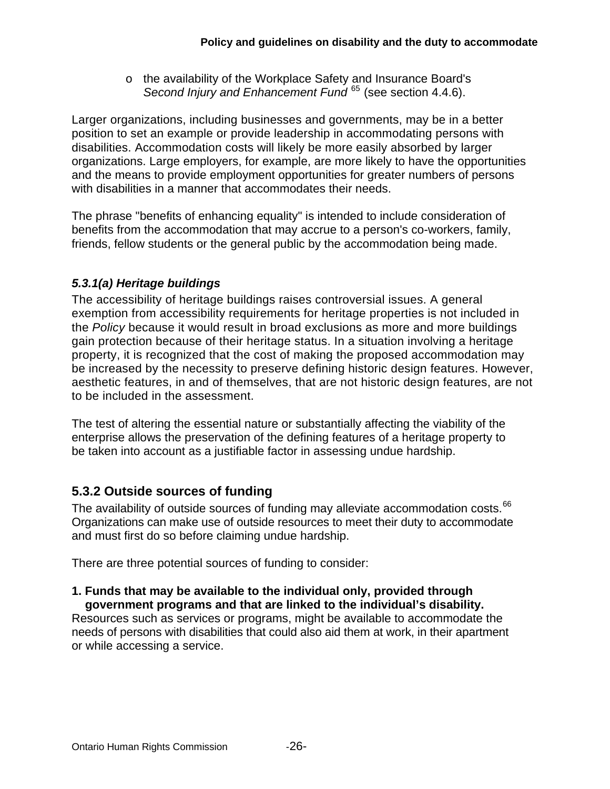o the availability of the Workplace Safety and Insurance Board's *Second Injury and Enhancement Fund* [65](#page-39-3) (see section 4.4.6).

Larger organizations, including businesses and governments, may be in a better position to set an example or provide leadership in accommodating persons with disabilities. Accommodation costs will likely be more easily absorbed by larger organizations. Large employers, for example, are more likely to have the opportunities and the means to provide employment opportunities for greater numbers of persons with disabilities in a manner that accommodates their needs.

The phrase "benefits of enhancing equality" is intended to include consideration of benefits from the accommodation that may accrue to a person's co-workers, family, friends, fellow students or the general public by the accommodation being made.

## *5.3.1(a) Heritage buildings*

The accessibility of heritage buildings raises controversial issues. A general exemption from accessibility requirements for heritage properties is not included in the *Policy* because it would result in broad exclusions as more and more buildings gain protection because of their heritage status. In a situation involving a heritage property, it is recognized that the cost of making the proposed accommodation may be increased by the necessity to preserve defining historic design features. However, aesthetic features, in and of themselves, that are not historic design features, are not to be included in the assessment.

The test of altering the essential nature or substantially affecting the viability of the enterprise allows the preservation of the defining features of a heritage property to be taken into account as a justifiable factor in assessing undue hardship.

## <span id="page-25-0"></span>**5.3.2 Outside sources of funding**

The availability of outside sources of funding may alleviate accommodation costs.<sup>[66](#page-39-4)</sup> Organizations can make use of outside resources to meet their duty to accommodate and must first do so before claiming undue hardship.

There are three potential sources of funding to consider:

#### **1. Funds that may be available to the individual only, provided through government programs and that are linked to the individual's disability.**

Resources such as services or programs, might be available to accommodate the needs of persons with disabilities that could also aid them at work, in their apartment or while accessing a service.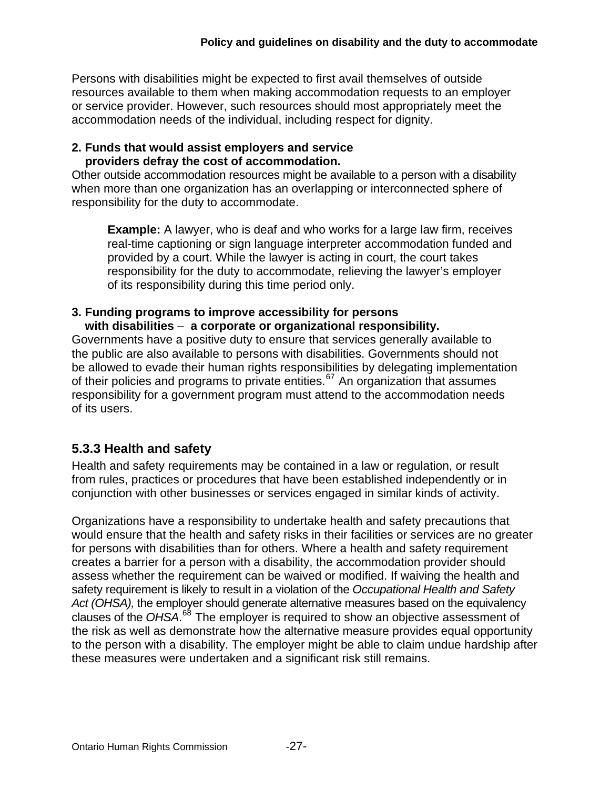Persons with disabilities might be expected to first avail themselves of outside resources available to them when making accommodation requests to an employer or service provider. However, such resources should most appropriately meet the accommodation needs of the individual, including respect for dignity.

#### **2. Funds that would assist employers and service providers defray the cost of accommodation.**

Other outside accommodation resources might be available to a person with a disability when more than one organization has an overlapping or interconnected sphere of responsibility for the duty to accommodate.

**Example:** A lawyer, who is deaf and who works for a large law firm, receives real-time captioning or sign language interpreter accommodation funded and provided by a court. While the lawyer is acting in court, the court takes responsibility for the duty to accommodate, relieving the lawyer's employer of its responsibility during this time period only.

#### **3. Funding programs to improve accessibility for persons with disabilities** – **a corporate or organizational responsibility.**

Governments have a positive duty to ensure that services generally available to the public are also available to persons with disabilities. Governments should not be allowed to evade their human rights responsibilities by delegating implementation of their policies and programs to private entities.<sup>[67](#page-39-5)</sup> An organization that assumes responsibility for a government program must attend to the accommodation needs of its users.

#### <span id="page-26-0"></span>**5.3.3 Health and safety**

Health and safety requirements may be contained in a law or regulation, or result from rules, practices or procedures that have been established independently or in conjunction with other businesses or services engaged in similar kinds of activity.

Organizations have a responsibility to undertake health and safety precautions that would ensure that the health and safety risks in their facilities or services are no greater for persons with disabilities than for others. Where a health and safety requirement creates a barrier for a person with a disability, the accommodation provider should assess whether the requirement can be waived or modified. If waiving the health and safety requirement is likely to result in a violation of the *Occupational Health and Safety Act (OHSA),* the employer should generate alternative measures based on the equivalency clauses of the *OHSA*. [68](#page-39-6) The employer is required to show an objective assessment of the risk as well as demonstrate how the alternative measure provides equal opportunity to the person with a disability. The employer might be able to claim undue hardship after these measures were undertaken and a significant risk still remains.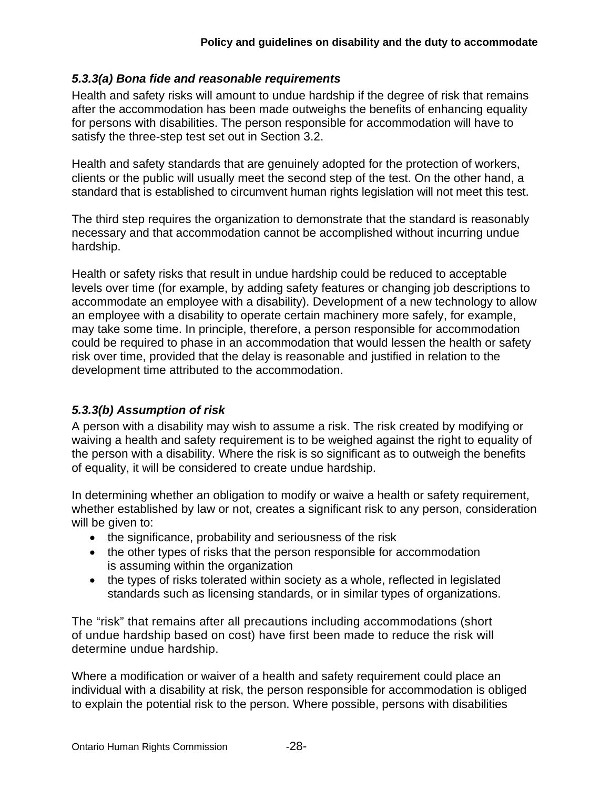#### *5.3.3(a) Bona fide and reasonable requirements*

Health and safety risks will amount to undue hardship if the degree of risk that remains after the accommodation has been made outweighs the benefits of enhancing equality for persons with disabilities. The person responsible for accommodation will have to satisfy the three-step test set out in Section 3.2.

Health and safety standards that are genuinely adopted for the protection of workers, clients or the public will usually meet the second step of the test. On the other hand, a standard that is established to circumvent human rights legislation will not meet this test.

The third step requires the organization to demonstrate that the standard is reasonably necessary and that accommodation cannot be accomplished without incurring undue hardship.

Health or safety risks that result in undue hardship could be reduced to acceptable levels over time (for example, by adding safety features or changing job descriptions to accommodate an employee with a disability). Development of a new technology to allow an employee with a disability to operate certain machinery more safely, for example, may take some time. In principle, therefore, a person responsible for accommodation could be required to phase in an accommodation that would lessen the health or safety risk over time, provided that the delay is reasonable and justified in relation to the development time attributed to the accommodation.

#### *5.3.3(b) Assumption of risk*

A person with a disability may wish to assume a risk. The risk created by modifying or waiving a health and safety requirement is to be weighed against the right to equality of the person with a disability. Where the risk is so significant as to outweigh the benefits of equality, it will be considered to create undue hardship.

In determining whether an obligation to modify or waive a health or safety requirement, whether established by law or not, creates a significant risk to any person, consideration will be given to:

- the significance, probability and seriousness of the risk
- the other types of risks that the person responsible for accommodation is assuming within the organization
- the types of risks tolerated within society as a whole, reflected in legislated standards such as licensing standards, or in similar types of organizations.

The "risk" that remains after all precautions including accommodations (short of undue hardship based on cost) have first been made to reduce the risk will determine undue hardship.

Where a modification or waiver of a health and safety requirement could place an individual with a disability at risk, the person responsible for accommodation is obliged to explain the potential risk to the person. Where possible, persons with disabilities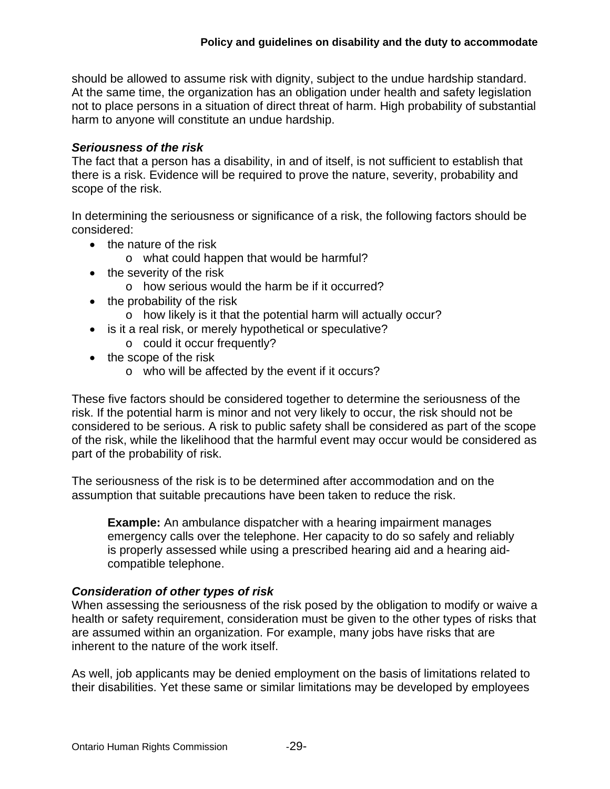should be allowed to assume risk with dignity, subject to the undue hardship standard. At the same time, the organization has an obligation under health and safety legislation not to place persons in a situation of direct threat of harm. High probability of substantial harm to anyone will constitute an undue hardship.

#### *Seriousness of the risk*

The fact that a person has a disability, in and of itself, is not sufficient to establish that there is a risk. Evidence will be required to prove the nature, severity, probability and scope of the risk.

In determining the seriousness or significance of a risk, the following factors should be considered:

- the nature of the risk
	- o what could happen that would be harmful?
- the severity of the risk
	- o how serious would the harm be if it occurred?
- $\bullet$  the probability of the risk
	- o how likely is it that the potential harm will actually occur?
- is it a real risk, or merely hypothetical or speculative?
	- o could it occur frequently?
- the scope of the risk
	- o who will be affected by the event if it occurs?

These five factors should be considered together to determine the seriousness of the risk. If the potential harm is minor and not very likely to occur, the risk should not be considered to be serious. A risk to public safety shall be considered as part of the scope of the risk, while the likelihood that the harmful event may occur would be considered as part of the probability of risk.

The seriousness of the risk is to be determined after accommodation and on the assumption that suitable precautions have been taken to reduce the risk.

**Example:** An ambulance dispatcher with a hearing impairment manages emergency calls over the telephone. Her capacity to do so safely and reliably is properly assessed while using a prescribed hearing aid and a hearing aidcompatible telephone.

#### *Consideration of other types of risk*

When assessing the seriousness of the risk posed by the obligation to modify or waive a health or safety requirement, consideration must be given to the other types of risks that are assumed within an organization. For example, many jobs have risks that are inherent to the nature of the work itself.

As well, job applicants may be denied employment on the basis of limitations related to their disabilities. Yet these same or similar limitations may be developed by employees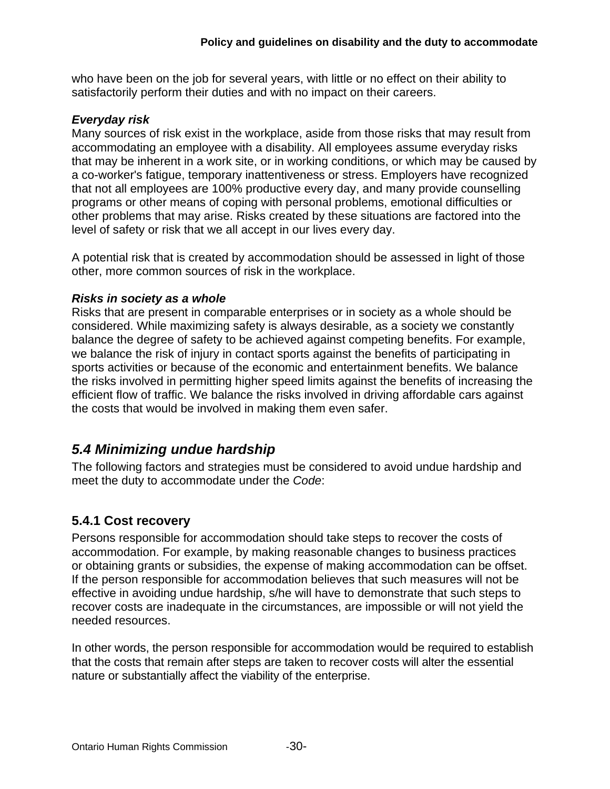who have been on the job for several years, with little or no effect on their ability to satisfactorily perform their duties and with no impact on their careers.

#### *Everyday risk*

Many sources of risk exist in the workplace, aside from those risks that may result from accommodating an employee with a disability. All employees assume everyday risks that may be inherent in a work site, or in working conditions, or which may be caused by a co-worker's fatigue, temporary inattentiveness or stress. Employers have recognized that not all employees are 100% productive every day, and many provide counselling programs or other means of coping with personal problems, emotional difficulties or other problems that may arise. Risks created by these situations are factored into the level of safety or risk that we all accept in our lives every day.

A potential risk that is created by accommodation should be assessed in light of those other, more common sources of risk in the workplace.

#### *Risks in society as a whole*

Risks that are present in comparable enterprises or in society as a whole should be considered. While maximizing safety is always desirable, as a society we constantly balance the degree of safety to be achieved against competing benefits. For example, we balance the risk of injury in contact sports against the benefits of participating in sports activities or because of the economic and entertainment benefits. We balance the risks involved in permitting higher speed limits against the benefits of increasing the efficient flow of traffic. We balance the risks involved in driving affordable cars against the costs that would be involved in making them even safer.

## <span id="page-29-0"></span>*5.4 Minimizing undue hardship*

The following factors and strategies must be considered to avoid undue hardship and meet the duty to accommodate under the *Code*:

## <span id="page-29-1"></span>**5.4.1 Cost recovery**

Persons responsible for accommodation should take steps to recover the costs of accommodation. For example, by making reasonable changes to business practices or obtaining grants or subsidies, the expense of making accommodation can be offset. If the person responsible for accommodation believes that such measures will not be effective in avoiding undue hardship, s/he will have to demonstrate that such steps to recover costs are inadequate in the circumstances, are impossible or will not yield the needed resources.

In other words, the person responsible for accommodation would be required to establish that the costs that remain after steps are taken to recover costs will alter the essential nature or substantially affect the viability of the enterprise.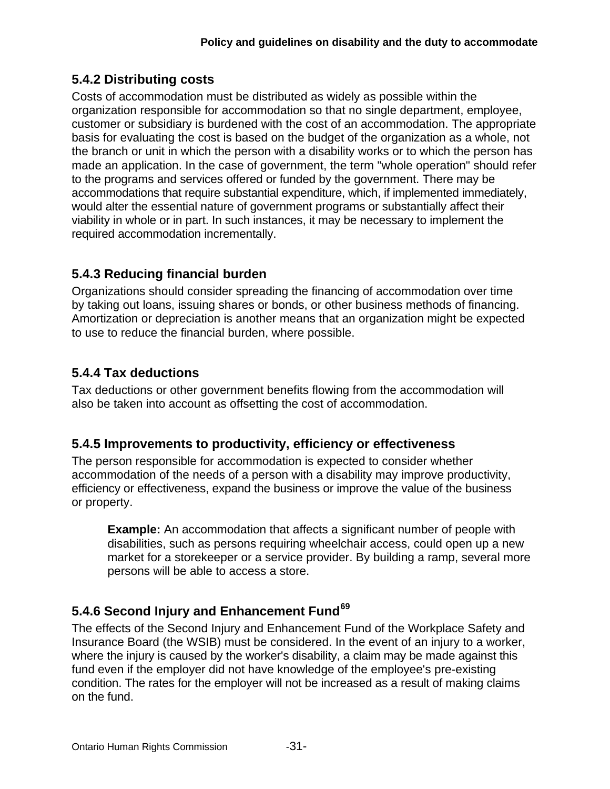## <span id="page-30-0"></span>**5.4.2 Distributing costs**

Costs of accommodation must be distributed as widely as possible within the organization responsible for accommodation so that no single department, employee, customer or subsidiary is burdened with the cost of an accommodation. The appropriate basis for evaluating the cost is based on the budget of the organization as a whole, not the branch or unit in which the person with a disability works or to which the person has made an application. In the case of government, the term "whole operation" should refer to the programs and services offered or funded by the government. There may be accommodations that require substantial expenditure, which, if implemented immediately, would alter the essential nature of government programs or substantially affect their viability in whole or in part. In such instances, it may be necessary to implement the required accommodation incrementally.

## <span id="page-30-1"></span>**5.4.3 Reducing financial burden**

Organizations should consider spreading the financing of accommodation over time by taking out loans, issuing shares or bonds, or other business methods of financing. Amortization or depreciation is another means that an organization might be expected to use to reduce the financial burden, where possible.

## <span id="page-30-2"></span>**5.4.4 Tax deductions**

Tax deductions or other government benefits flowing from the accommodation will also be taken into account as offsetting the cost of accommodation.

## <span id="page-30-3"></span>**5.4.5 Improvements to productivity, efficiency or effectiveness**

The person responsible for accommodation is expected to consider whether accommodation of the needs of a person with a disability may improve productivity, efficiency or effectiveness, expand the business or improve the value of the business or property.

**Example:** An accommodation that affects a significant number of people with disabilities, such as persons requiring wheelchair access, could open up a new market for a storekeeper or a service provider. By building a ramp, several more persons will be able to access a store.

## <span id="page-30-4"></span>**5.4.6 Second Injury and Enhancement Fund[69](#page-39-7)**

The effects of the Second Injury and Enhancement Fund of the Workplace Safety and Insurance Board (the WSIB) must be considered. In the event of an injury to a worker, where the injury is caused by the worker's disability, a claim may be made against this fund even if the employer did not have knowledge of the employee's pre-existing condition. The rates for the employer will not be increased as a result of making claims on the fund.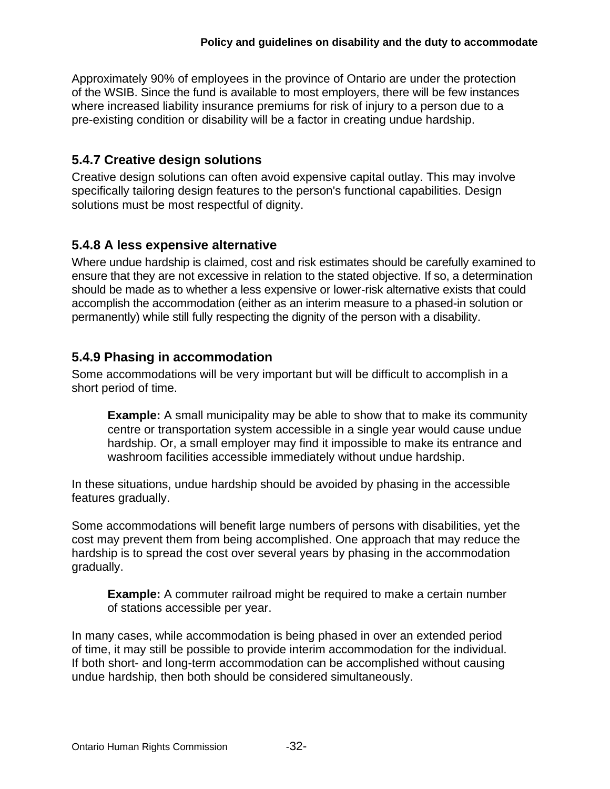Approximately 90% of employees in the province of Ontario are under the protection of the WSIB. Since the fund is available to most employers, there will be few instances where increased liability insurance premiums for risk of injury to a person due to a pre-existing condition or disability will be a factor in creating undue hardship.

## <span id="page-31-0"></span>**5.4.7 Creative design solutions**

Creative design solutions can often avoid expensive capital outlay. This may involve specifically tailoring design features to the person's functional capabilities. Design solutions must be most respectful of dignity.

## <span id="page-31-1"></span>**5.4.8 A less expensive alternative**

Where undue hardship is claimed, cost and risk estimates should be carefully examined to ensure that they are not excessive in relation to the stated objective. If so, a determination should be made as to whether a less expensive or lower-risk alternative exists that could accomplish the accommodation (either as an interim measure to a phased-in solution or permanently) while still fully respecting the dignity of the person with a disability.

## <span id="page-31-2"></span>**5.4.9 Phasing in accommodation**

Some accommodations will be very important but will be difficult to accomplish in a short period of time.

**Example:** A small municipality may be able to show that to make its community centre or transportation system accessible in a single year would cause undue hardship. Or, a small employer may find it impossible to make its entrance and washroom facilities accessible immediately without undue hardship.

In these situations, undue hardship should be avoided by phasing in the accessible features gradually.

Some accommodations will benefit large numbers of persons with disabilities, yet the cost may prevent them from being accomplished. One approach that may reduce the hardship is to spread the cost over several years by phasing in the accommodation gradually.

**Example:** A commuter railroad might be required to make a certain number of stations accessible per year.

In many cases, while accommodation is being phased in over an extended period of time, it may still be possible to provide interim accommodation for the individual. If both short- and long-term accommodation can be accomplished without causing undue hardship, then both should be considered simultaneously.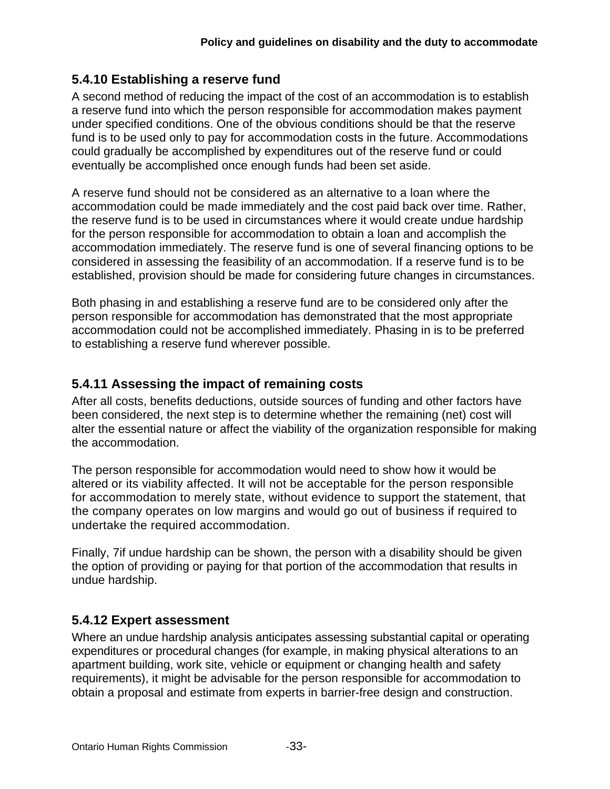## <span id="page-32-0"></span>**5.4.10 Establishing a reserve fund**

A second method of reducing the impact of the cost of an accommodation is to establish a reserve fund into which the person responsible for accommodation makes payment under specified conditions. One of the obvious conditions should be that the reserve fund is to be used only to pay for accommodation costs in the future. Accommodations could gradually be accomplished by expenditures out of the reserve fund or could eventually be accomplished once enough funds had been set aside.

A reserve fund should not be considered as an alternative to a loan where the accommodation could be made immediately and the cost paid back over time. Rather, the reserve fund is to be used in circumstances where it would create undue hardship for the person responsible for accommodation to obtain a loan and accomplish the accommodation immediately. The reserve fund is one of several financing options to be considered in assessing the feasibility of an accommodation. If a reserve fund is to be established, provision should be made for considering future changes in circumstances.

Both phasing in and establishing a reserve fund are to be considered only after the person responsible for accommodation has demonstrated that the most appropriate accommodation could not be accomplished immediately. Phasing in is to be preferred to establishing a reserve fund wherever possible.

#### <span id="page-32-1"></span>**5.4.11 Assessing the impact of remaining costs**

After all costs, benefits deductions, outside sources of funding and other factors have been considered, the next step is to determine whether the remaining (net) cost will alter the essential nature or affect the viability of the organization responsible for making the accommodation.

The person responsible for accommodation would need to show how it would be altered or its viability affected. It will not be acceptable for the person responsible for accommodation to merely state, without evidence to support the statement, that the company operates on low margins and would go out of business if required to undertake the required accommodation.

Finally, 7if undue hardship can be shown, the person with a disability should be given the option of providing or paying for that portion of the accommodation that results in undue hardship.

## <span id="page-32-2"></span>**5.4.12 Expert assessment**

Where an undue hardship analysis anticipates assessing substantial capital or operating expenditures or procedural changes (for example, in making physical alterations to an apartment building, work site, vehicle or equipment or changing health and safety requirements), it might be advisable for the person responsible for accommodation to obtain a proposal and estimate from experts in barrier-free design and construction.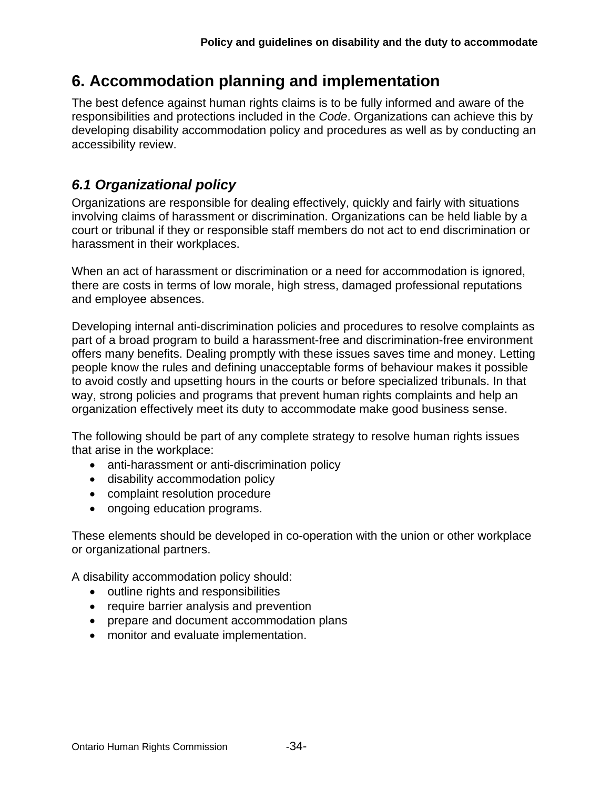# <span id="page-33-0"></span>**6. Accommodation planning and implementation**

The best defence against human rights claims is to be fully informed and aware of the responsibilities and protections included in the *Code*. Organizations can achieve this by developing disability accommodation policy and procedures as well as by conducting an accessibility review.

## <span id="page-33-1"></span>*6.1 Organizational policy*

Organizations are responsible for dealing effectively, quickly and fairly with situations involving claims of harassment or discrimination. Organizations can be held liable by a court or tribunal if they or responsible staff members do not act to end discrimination or harassment in their workplaces.

When an act of harassment or discrimination or a need for accommodation is ignored, there are costs in terms of low morale, high stress, damaged professional reputations and employee absences.

Developing internal anti-discrimination policies and procedures to resolve complaints as part of a broad program to build a harassment-free and discrimination-free environment offers many benefits. Dealing promptly with these issues saves time and money. Letting people know the rules and defining unacceptable forms of behaviour makes it possible to avoid costly and upsetting hours in the courts or before specialized tribunals. In that way, strong policies and programs that prevent human rights complaints and help an organization effectively meet its duty to accommodate make good business sense.

The following should be part of any complete strategy to resolve human rights issues that arise in the workplace:

- anti-harassment or anti-discrimination policy
- disability accommodation policy
- complaint resolution procedure
- ongoing education programs.

These elements should be developed in co-operation with the union or other workplace or organizational partners.

A disability accommodation policy should:

- outline rights and responsibilities
- require barrier analysis and prevention
- prepare and document accommodation plans
- monitor and evaluate implementation.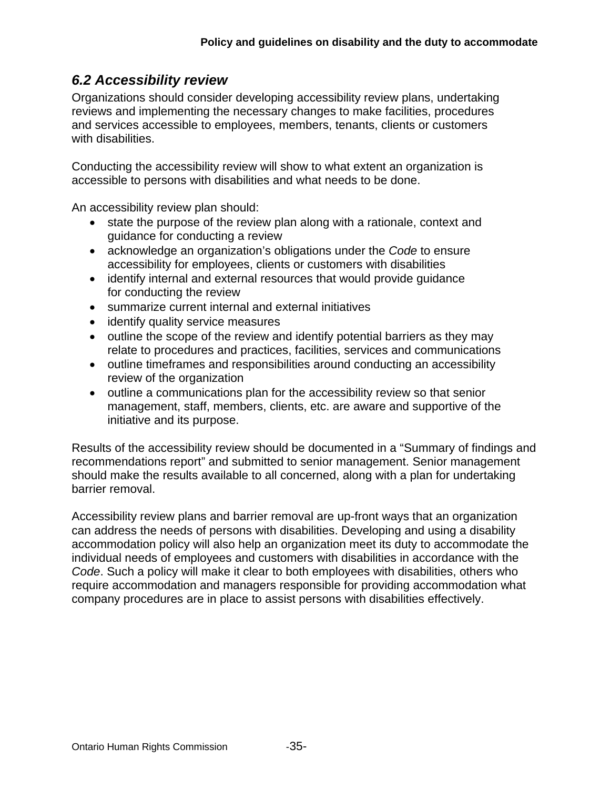## <span id="page-34-0"></span>*6.2 Accessibility review*

Organizations should consider developing accessibility review plans, undertaking reviews and implementing the necessary changes to make facilities, procedures and services accessible to employees, members, tenants, clients or customers with disabilities.

Conducting the accessibility review will show to what extent an organization is accessible to persons with disabilities and what needs to be done.

An accessibility review plan should:

- state the purpose of the review plan along with a rationale, context and guidance for conducting a review
- acknowledge an organization's obligations under the *Code* to ensure accessibility for employees, clients or customers with disabilities
- identify internal and external resources that would provide guidance for conducting the review
- summarize current internal and external initiatives
- identify quality service measures
- outline the scope of the review and identify potential barriers as they may relate to procedures and practices, facilities, services and communications
- outline timeframes and responsibilities around conducting an accessibility review of the organization
- outline a communications plan for the accessibility review so that senior management, staff, members, clients, etc. are aware and supportive of the initiative and its purpose.

Results of the accessibility review should be documented in a "Summary of findings and recommendations report" and submitted to senior management. Senior management should make the results available to all concerned, along with a plan for undertaking barrier removal.

Accessibility review plans and barrier removal are up-front ways that an organization can address the needs of persons with disabilities. Developing and using a disability accommodation policy will also help an organization meet its duty to accommodate the individual needs of employees and customers with disabilities in accordance with the *Code*. Such a policy will make it clear to both employees with disabilities, others who require accommodation and managers responsible for providing accommodation what company procedures are in place to assist persons with disabilities effectively.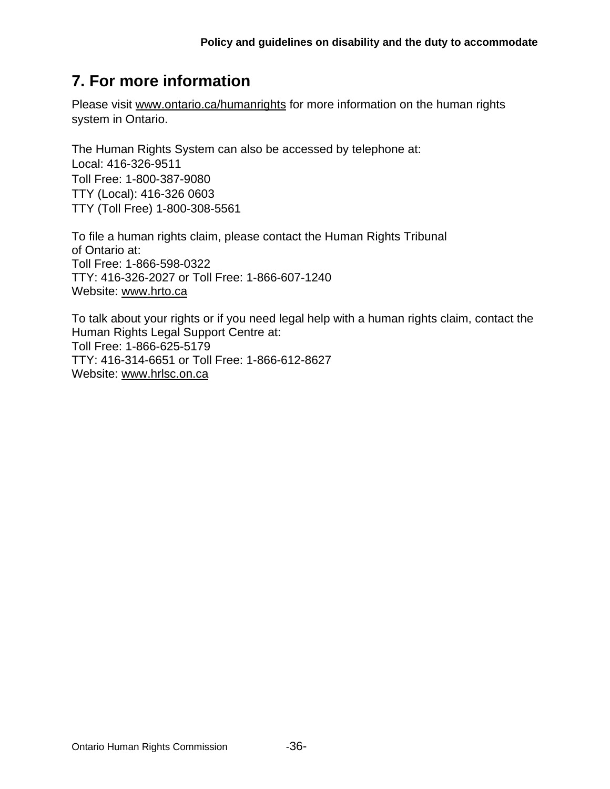# <span id="page-35-0"></span>**7. For more information**

Please visit [www.ontario.ca/humanrights](http://www.attorneygeneral.jus.gov.on.ca/english/ohrc/Default.asp) for more information on the human rights system in Ontario.

The Human Rights System can also be accessed by telephone at: Local: 416-326-9511 Toll Free: 1-800-387-9080 TTY (Local): 416-326 0603 TTY (Toll Free) 1-800-308-5561

To file a human rights claim, please contact the Human Rights Tribunal of Ontario at: Toll Free: 1-866-598-0322 TTY: 416-326-2027 or Toll Free: 1-866-607-1240 Website: www.hrto.ca

To talk about your rights or if you need legal help with a human rights claim, contact the Human Rights Legal Support Centre at: Toll Free: 1-866-625-5179 TTY: 416-314-6651 or Toll Free: 1-866-612-8627 Website: [www.hrlsc.on.ca](http://www.hrlsc.on.ca/)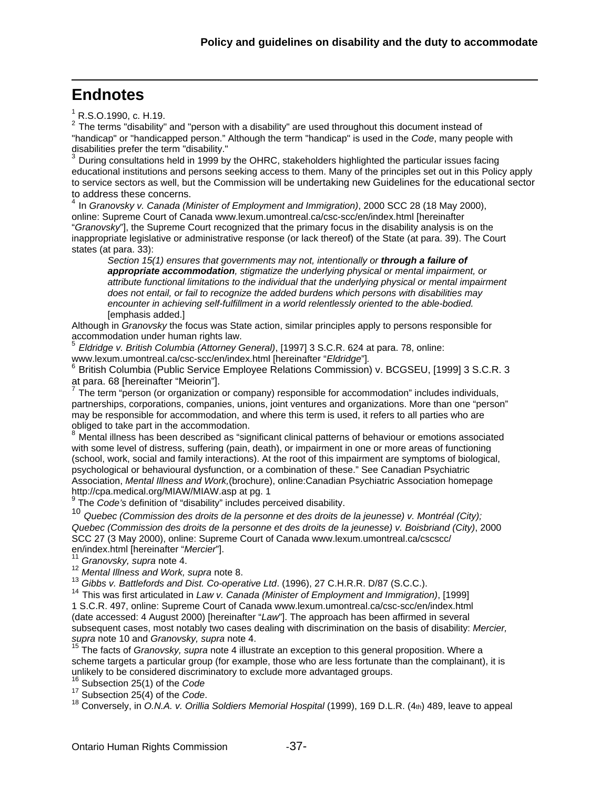# <span id="page-36-0"></span>**Endnotes**

 $\overline{a}$ 

 $1$  R.S.O.1990, c. H.19.

<span id="page-36-1"></span> $2$  The terms "disability" and "person with a disability" are used throughout this document instead of "handicap" or "handicapped person." Although the term "handicap" is used in the *Code*, many people with disabilities prefer the term "disability."

<span id="page-36-2"></span><sup>3</sup> During consultations held in 1999 by the OHRC, stakeholders highlighted the particular issues facing educational institutions and persons seeking access to them. Many of the principles set out in this Policy apply to service sectors as well, but the Commission will be undertaking new Guidelines for the educational sector to address these concerns.

<span id="page-36-3"></span><sup>4</sup> In *Granovsky v. Canada (Minister of Employment and Immigration)*, 2000 SCC 28 (18 May 2000), online: Supreme Court of Canada www.lexum.umontreal.ca/csc-scc/en/index.html [hereinafter "*Granovsky*"], the Supreme Court recognized that the primary focus in the disability analysis is on the inappropriate legislative or administrative response (or lack thereof) of the State (at para. 39). The Court states (at para. 33):

*Section 15(1) ensures that governments may not, intentionally or through a failure of appropriate accommodation, stigmatize the underlying physical or mental impairment, or attribute functional limitations to the individual that the underlying physical or mental impairment does not entail, or fail to recognize the added burdens which persons with disabilities may encounter in achieving self-fulfillment in a world relentlessly oriented to the able-bodied.*  [emphasis added.]

Although in *Granovsky* the focus was State action, similar principles apply to persons responsible for accommodation under human rights law.

<span id="page-36-4"></span><sup>5</sup> *Eldridge v. British Columbia (Attorney General)*, [1997] 3 S.C.R. 624 at para. 78, online:

<span id="page-36-5"></span>www.lexum.umontreal.ca/csc-scc/en/index.html [hereinafter "*Eldridge*"].<br><sup>6</sup> British Columbia (Public Service Employee Relations Commission) v. BCGSEU, [1999] 3 S.C.R. 3 at para. 68 [hereinafter "Meiorin"].

<span id="page-36-6"></span> $<sup>7</sup>$  The term "person (or organization or company) responsible for accommodation" includes individuals,</sup> partnerships, corporations, companies, unions, joint ventures and organizations. More than one "person" may be responsible for accommodation, and where this term is used, it refers to all parties who are obliged to take part in the accommodation.

<span id="page-36-7"></span>8 Mental illness has been described as "significant clinical patterns of behaviour or emotions associated with some level of distress, suffering (pain, death), or impairment in one or more areas of functioning (school, work, social and family interactions). At the root of this impairment are symptoms of biological, psychological or behavioural dysfunction, or a combination of these." See Canadian Psychiatric Association, *Mental Illness and Work,*(brochure), online:Canadian Psychiatric Association homepage http://cpa.medical.org/MIAW/MIAW.asp at pg. 1

<sup>9</sup> The *Code's* definition of "disability" includes perceived disability.

<span id="page-36-9"></span><span id="page-36-8"></span><sup>10</sup> *Quebec (Commission des droits de la personne et des droits de la jeunesse) v. Montréal (City); Quebec (Commission des droits de la personne et des droits de la jeunesse) v. Boisbriand (City)*, 2000 SCC 27 (3 May 2000), online: Supreme Court of Canada www.lexum.umontreal.ca/cscscc/ en/index.html [hereinafter "*Mercier*"]. <sup>11</sup> *Granovsky, supra* note 4.

<span id="page-36-12"></span><span id="page-36-11"></span><span id="page-36-10"></span>12 *Mental Illness and Work, supra* note 8.<br><sup>13</sup> Gibbs v. Battlefords and Dist. Co-operative Ltd. (1996), 27 C.H.R.R. D/87 (S.C.C.).

<span id="page-36-13"></span><sup>14</sup> This was first articulated in Law v. Canada (Minister of Employment and Immigration), [1999]

1 S.C.R. 497, online: Supreme Court of Canada www.lexum.umontreal.ca/csc-scc/en/index.html (date accessed: 4 August 2000) [hereinafter "*Law*"]. The approach has been affirmed in several subsequent cases, most notably two cases dealing with discrimination on the basis of disability: *Mercier, supra* note 10 and *Granovsky, supra* note 4.

<span id="page-36-14"></span><sup>15</sup> The facts of *Granovsky, supra* note 4 illustrate an exception to this general proposition. Where a scheme targets a particular group (for example, those who are less fortunate than the complainant), it is unlikely to be considered discriminatory to exclude more advantaged groups.

<span id="page-36-15"></span><sup>16</sup> Subsection 25(1) of the *Code*<br><sup>17</sup> Subsection 25(4) of the *Code*.

<span id="page-36-17"></span><span id="page-36-16"></span><sup>18</sup> Conversely, in O.N.A. v. Orillia Soldiers Memorial Hospital (1999), 169 D.L.R. (4th) 489, leave to appeal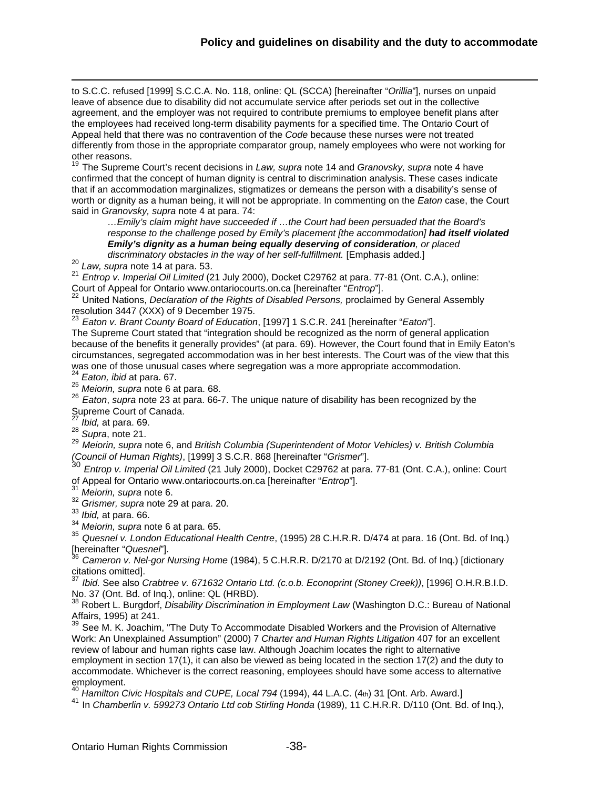to S.C.C. refused [1999] S.C.C.A. No. 118, online: QL (SCCA) [hereinafter "*Orillia*"], nurses on unpaid leave of absence due to disability did not accumulate service after periods set out in the collective agreement, and the employer was not required to contribute premiums to employee benefit plans after the employees had received long-term disability payments for a specified time. The Ontario Court of Appeal held that there was no contravention of the *Code* because these nurses were not treated differently from those in the appropriate comparator group, namely employees who were not working for other reasons.

<span id="page-37-0"></span><sup>19</sup> The Supreme Court's recent decisions in *Law, supra* note 14 and *Granovsky, supra* note 4 have confirmed that the concept of human dignity is central to discrimination analysis. These cases indicate that if an accommodation marginalizes, stigmatizes or demeans the person with a disability's sense of worth or dignity as a human being, it will not be appropriate. In commenting on the *Eaton* case, the Court said in *Granovsky, supra* note 4 at para. 74:

*…Emily's claim might have succeeded if …the Court had been persuaded that the Board's*  response to the challenge posed by Emily's placement [the accommodation] had itself violated *Emily's dignity as a human being equally deserving of consideration, or placed* 

<span id="page-37-1"></span>discriminatory obstacles in the way of her self-fulfillment. [Emphasis added.]<br><sup>20</sup> Law, supra note 14 at para. 53.<br><sup>21</sup> Entrop v. Imperial Oil Limited (21 July 2000), Docket C29762 at para. 77-81 (Ont. C.A.), online:

<span id="page-37-3"></span><span id="page-37-2"></span>Court of Appeal for Ontario www.ontariocourts.on.ca [hereinafter "*Entrop*"]. 22 United Nations, *Declaration of the Rights of Disabled Persons,* proclaimed by General Assembly resolution 3447 (XXX) of 9 December 1975.

<sup>23</sup> *Eaton v. Brant County Board of Education*, [1997] 1 S.C.R. 241 [hereinafter "*Eaton*"].

<span id="page-37-4"></span>The Supreme Court stated that "integration should be recognized as the norm of general application because of the benefits it generally provides" (at para. 69). However, the Court found that in Emily Eaton's circumstances, segregated accommodation was in her best interests. The Court was of the view that this was one of those unusual cases where segregation was a more appropriate accommodation.

<span id="page-37-6"></span><span id="page-37-5"></span><sup>24</sup> *Eaton, ibid* at para. 67. <sup>25</sup> *Meiorin, supra* note 6 at para. 68.

<span id="page-37-7"></span><sup>26</sup> *Eaton*, *supra* note 23 at para. 66-7. The unique nature of disability has been recognized by the Supreme Court of Canada.

 $\overline{a}$ 

<span id="page-37-8"></span><sup>27</sup> *Ibid,* at para. 69. <sup>28</sup> *Supra*, note 21.

<span id="page-37-10"></span><span id="page-37-9"></span><sup>29</sup> *Meiorin, supra* note 6, and *British Columbia (Superintendent of Motor Vehicles) v. British Columbia (Council of Human Rights)*, [1999] 3 S.C.R. 868 [hereinafter "*Grismer*"].

<span id="page-37-11"></span><sup>30</sup> *Entrop v. Imperial Oil Limited* (21 July 2000), Docket C29762 at para. 77-81 (Ont. C.A.), online: Court of Appeal for Ontario www.ontariocourts.on.ca [hereinafter "*Entrop*"]. <sup>31</sup> *Meiorin, supra* note 6.

<span id="page-37-13"></span><span id="page-37-12"></span><sup>32</sup> *Grismer, supra* note 29 at para. 20.

<span id="page-37-14"></span><sup>33</sup> *Ibid,* at para. 66.

<span id="page-37-16"></span><span id="page-37-15"></span><sup>35</sup> Quesnel v. London Educational Health Centre, (1995) 28 C.H.R.R. D/474 at para. 16 (Ont. Bd. of Inq.)

<span id="page-37-17"></span>[hereinafter "*Quesnel*"]. <sup>36</sup> *Cameron v. Nel-gor Nursing Home* (1984), 5 C.H.R.R. D/2170 at D/2192 (Ont. Bd. of Inq.) [dictionary citations omitted].

<span id="page-37-18"></span><sup>37</sup> *Ibid.* See also *Crabtree v. 671632 Ontario Ltd. (c.o.b. Econoprint (Stoney Creek))*, [1996] O.H.R.B.I.D. No. 37 (Ont. Bd. of Inq.), online: QL (HRBD).

<span id="page-37-19"></span><sup>38</sup> Robert L. Burgdorf, *Disability Discrimination in Employment Law* (Washington D.C.: Bureau of National Affairs, 1995) at 241.

<span id="page-37-20"></span> $39$  See M. K. Joachim, "The Duty To Accommodate Disabled Workers and the Provision of Alternative Work: An Unexplained Assumption" (2000) 7 *Charter and Human Rights Litigation* 407 for an excellent review of labour and human rights case law. Although Joachim locates the right to alternative employment in section 17(1), it can also be viewed as being located in the section 17(2) and the duty to accommodate. Whichever is the correct reasoning, employees should have some access to alternative employment.

<sup>40</sup> *Hamilton Civic Hospitals and CUPE, Local 794* (1994), 44 L.A.C. (4th) 31 [Ont. Arb. Award.]

<span id="page-37-22"></span><span id="page-37-21"></span><sup>41</sup> In *Chamberlin v. 599273 Ontario Ltd cob Stirling Honda* (1989), 11 C.H.R.R. D/110 (Ont. Bd. of Inq.),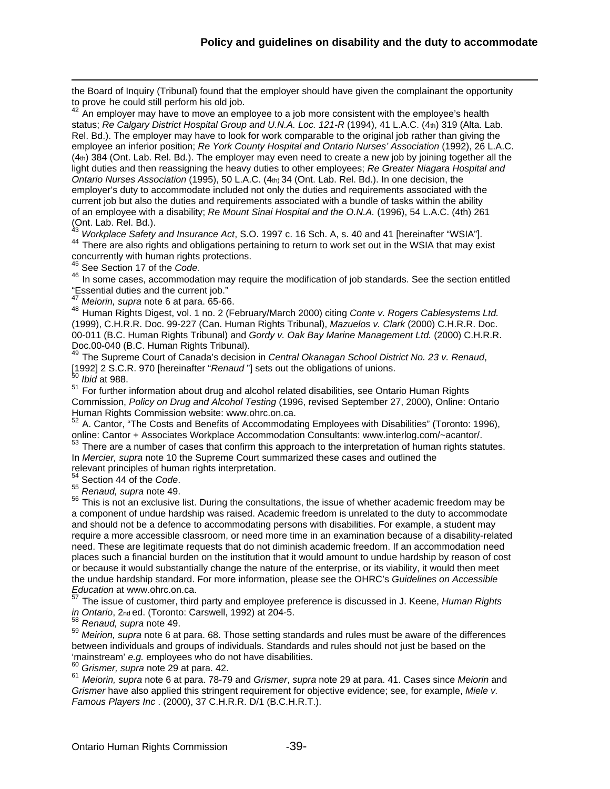the Board of Inquiry (Tribunal) found that the employer should have given the complainant the opportunity to prove he could still perform his old job.

<span id="page-38-0"></span>An employer may have to move an employee to a job more consistent with the employee's health status; *Re Calgary District Hospital Group and U.N.A. Loc. 121-R* (1994), 41 L.A.C. (4th) 319 (Alta. Lab. Rel. Bd.). The employer may have to look for work comparable to the original job rather than giving the employee an inferior position; *Re York County Hospital and Ontario Nurses' Association* (1992), 26 L.A.C. (4th) 384 (Ont. Lab. Rel. Bd.). The employer may even need to create a new job by joining together all the light duties and then reassigning the heavy duties to other employees; *Re Greater Niagara Hospital and Ontario Nurses Association* (1995), 50 L.A.C. (4th) 34 (Ont. Lab. Rel. Bd.). In one decision, the employer's duty to accommodate included not only the duties and requirements associated with the current job but also the duties and requirements associated with a bundle of tasks within the ability of an employee with a disability; *Re Mount Sinai Hospital and the O.N.A.* (1996), 54 L.A.C. (4th) 261 (Ont. Lab. Rel. Bd.).

<span id="page-38-2"></span><span id="page-38-1"></span><sup>43</sup> *Workplace Safety and Insurance Act*, S.O. 1997 c. 16 Sch. A, s. 40 and 41 [hereinafter "WSIA"]. <sup>44</sup> There are also rights and obligations pertaining to return to work set out in the WSIA that may exist concurrently with human rights protections.

<sup>45</sup> See Section 17 of the *Code.*

<span id="page-38-4"></span><span id="page-38-3"></span><sup>46</sup> In some cases, accommodation may require the modification of job standards. See the section entitled "Essential duties and the current job."<br><sup>47</sup> Meiorin, supra note 6 at para. 65-66.

<span id="page-38-6"></span><span id="page-38-5"></span><sup>48</sup> Human Rights Digest, vol. 1 no. 2 (February/March 2000) citing Conte v. Rogers Cablesystems Ltd. (1999), C.H.R.R. Doc. 99-227 (Can. Human Rights Tribunal), *Mazuelos v. Clark* (2000) C.H.R.R. Doc. 00-011 (B.C. Human Rights Tribunal) and *Gordy v. Oak Bay Marine Management Ltd.* (2000) C.H.R.R. Doc.00-040 (B.C. Human Rights Tribunal).

<span id="page-38-7"></span><sup>49</sup> The Supreme Court of Canada's decision in *Central Okanagan School District No. 23 v. Renaud*, [1992] 2 S.C.R. 970 [hereinafter "*Renaud* "] sets out the obligations of unions. <sup>50</sup> *Ibid* at 988.

 $\overline{a}$ 

<span id="page-38-9"></span><span id="page-38-8"></span><sup>51</sup> For further information about drug and alcohol related disabilities, see Ontario Human Rights Commission, *Policy on Drug and Alcohol Testing* (1996, revised September 27, 2000), Online: Ontario Human Rights Commission website: www.ohrc.on.ca.

<span id="page-38-10"></span><sup>52</sup> A. Cantor, "The Costs and Benefits of Accommodating Employees with Disabilities" (Toronto: 1996), online: Cantor + Associates Workplace Accommodation Consultants: www.interlog.com/~acantor/.

<span id="page-38-11"></span> $53$  There are a number of cases that confirm this approach to the interpretation of human rights statutes. In *Mercier, supra* note 10 the Supreme Court summarized these cases and outlined the

relevant principles of human rights interpretation.<br><sup>54</sup> Section 44 of the Code.

<span id="page-38-13"></span><span id="page-38-12"></span><sup>54</sup> Section 44 of the *Code*. <sup>55</sup> *Renaud, supra* note 49.

<span id="page-38-14"></span><sup>56</sup> This is not an exclusive list. During the consultations, the issue of whether academic freedom may be a component of undue hardship was raised. Academic freedom is unrelated to the duty to accommodate and should not be a defence to accommodating persons with disabilities. For example, a student may require a more accessible classroom, or need more time in an examination because of a disability-related need. These are legitimate requests that do not diminish academic freedom. If an accommodation need places such a financial burden on the institution that it would amount to undue hardship by reason of cost or because it would substantially change the nature of the enterprise, or its viability, it would then meet the undue hardship standard. For more information, please see the OHRC's *Guidelines on Accessible Education* at www.ohrc.on.ca.

<span id="page-38-15"></span><sup>57</sup> The issue of customer, third party and employee preference is discussed in J. Keene, *Human Rights in Ontario*, 2nd ed. (Toronto: Carswell, 1992) at 204-5. <sup>58</sup> *Renaud, supra* note 49.

<span id="page-38-17"></span><span id="page-38-16"></span><sup>59</sup> *Meirion, supra* note 6 at para. 68. Those setting standards and rules must be aware of the differences between individuals and groups of individuals. Standards and rules should not just be based on the

<span id="page-38-19"></span>

<span id="page-38-18"></span>'mainstream' e.g. employees who do not have disabilities.<br><sup>60</sup> Grismer, supra note 29 at para. 42.<br><sup>61</sup> Meiorin, supra note 6 at para. 78-79 and Grismer, supra note 29 at para. 41. Cases since Meiorin and *Grismer* have also applied this stringent requirement for objective evidence; see, for example, *Miele v. Famous Players Inc* . (2000), 37 C.H.R.R. D/1 (B.C.H.R.T.).